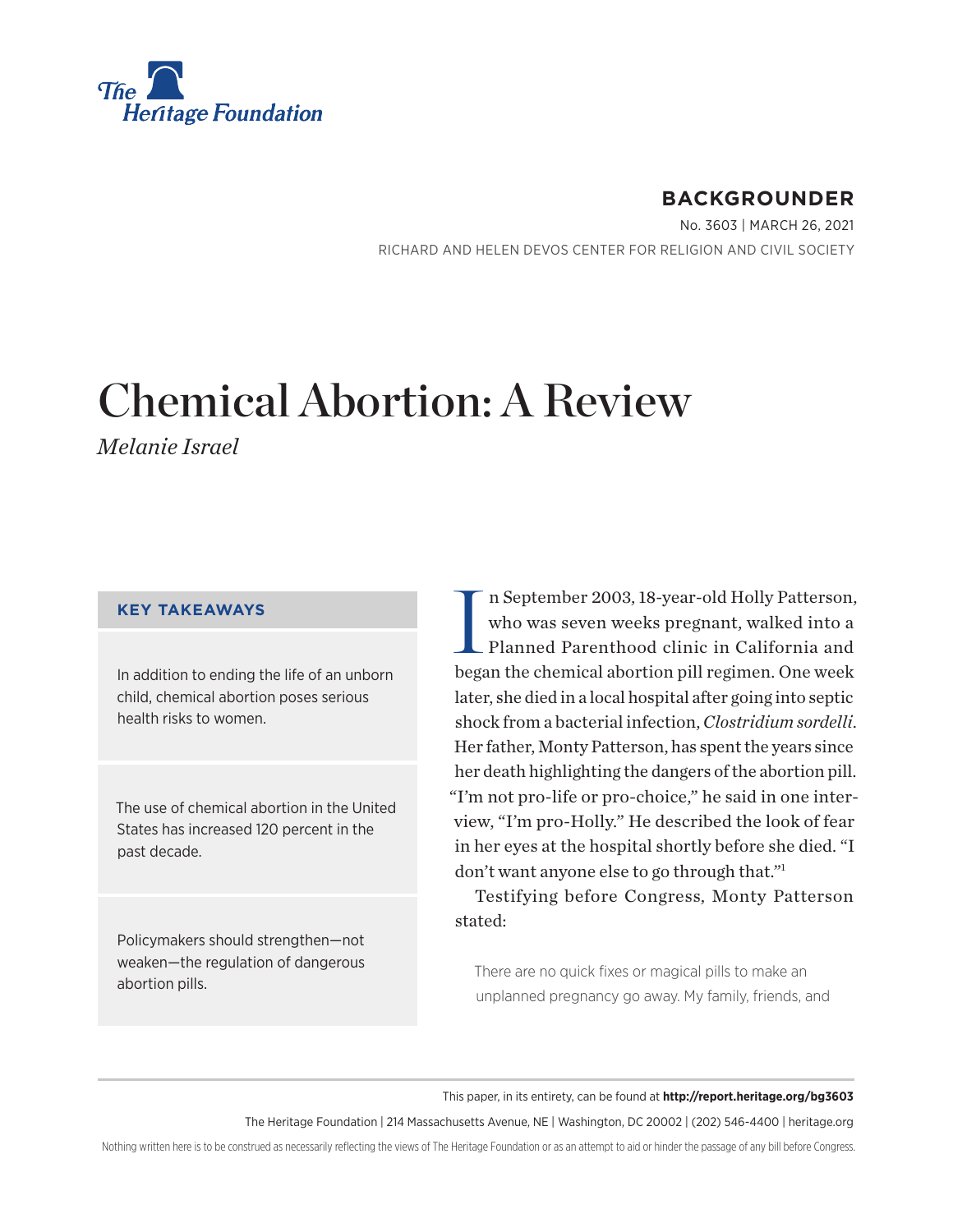<span id="page-0-0"></span>

## **BACKGROUNDER**

No. 3603 | March 26, 2021 RICHARD AND HELEN DEVOS CENTER FOR RELIGION AND CIVIL SOCIETY

# Chemical Abortion: A Review

*Melanie Israel*

#### **KEY TAKEAWAYS**

In addition to ending the life of an unborn child, chemical abortion poses serious health risks to women.

The use of chemical abortion in the United States has increased 120 percent in the past decade.

Policymakers should strengthen—not weaken—the regulation of dangerous abortion pills.

I n September 2003, 18-year-old Holly Patterson, who was seven weeks pregnant, walked into a Planned Parenthood clinic in California and began the chemical abortion pill regimen. One week later, she died in a local hospital after going into septic shock from a bacterial infection, *Clostridium sordelli*. Her father, Monty Patterson, has spent the years since her death highlighting the dangers of the abortion pill. "I'm not pro-life or pro-choice," he said in one interview, "I'm pro-Holly." He described the look of fear in her eyes at the hospital shortly before she died. "I don't want anyone else to go through that.["1](#page-18-0)

Testifying before Congress, Monty Patterson stated:

There are no quick fixes or magical pills to make an unplanned pregnancy go away. My family, friends, and

This paper, in its entirety, can be found at **http://report.heritage.org/bg3603**

The Heritage Foundation | 214 Massachusetts Avenue, NE | Washington, DC 20002 | (202) 546-4400 | [heritage.org](https://www.hhs.gov/about/news/2018/09/24/statement-from-the-department-of-health-and-human-services.html)

Nothing written here is to be construed as necessarily reflecting the views of The Heritage Foundation or as an attempt to aid or hinder the passage of any bill before Congress.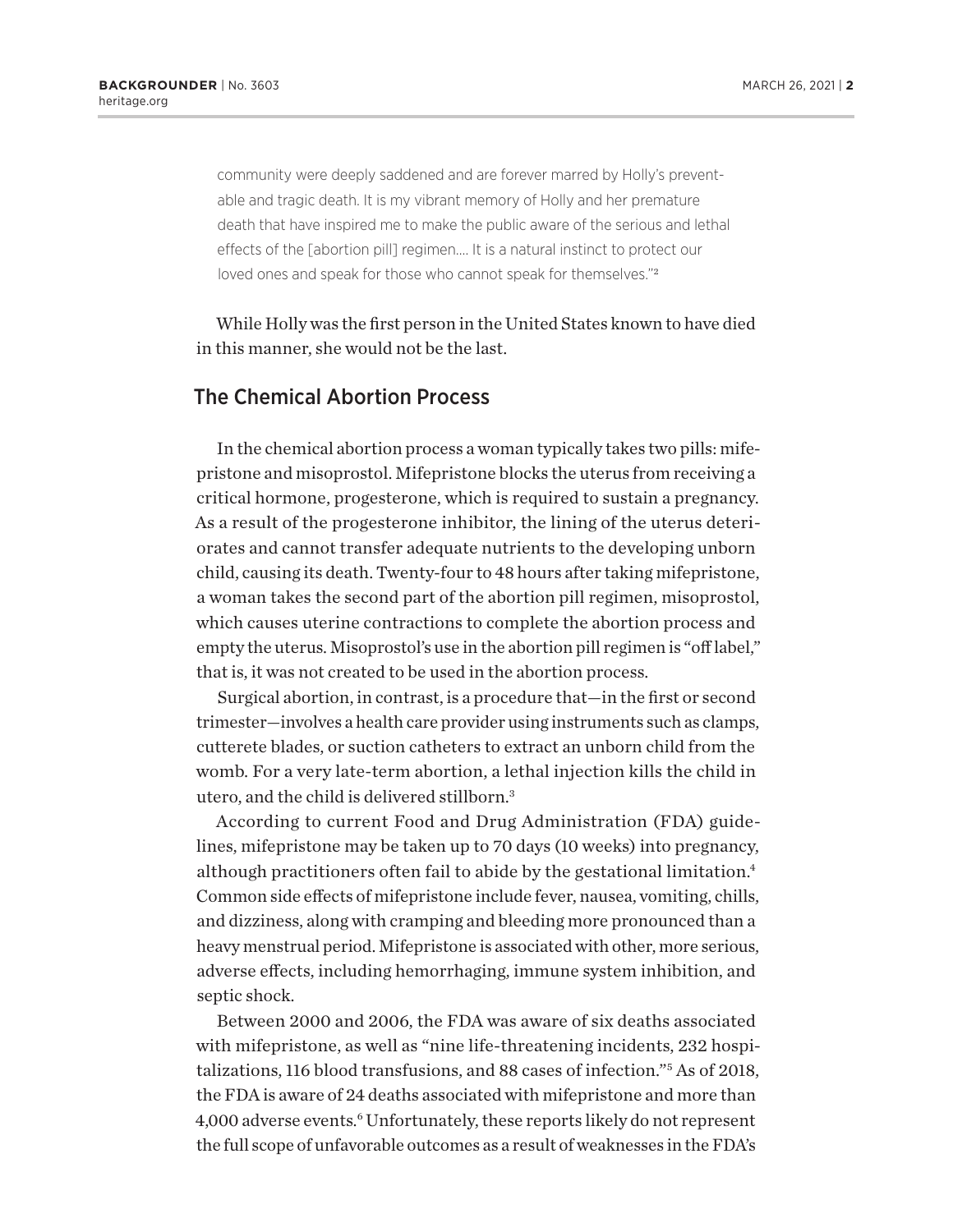<span id="page-1-0"></span>community were deeply saddened and are forever marred by Holly's preventable and tragic death. It is my vibrant memory of Holly and her premature death that have inspired me to make the public aware of the serious and lethal effects of the [abortion pill] regimen…. It is a natural instinct to protect our loved ones and speak for those who cannot speak for themselves."<sup>[2](#page-18-0)</sup>

While Holly was the first person in the United States known to have died in this manner, she would not be the last.

#### The Chemical Abortion Process

In the chemical abortion process a woman typically takes two pills: mifepristone and misoprostol. Mifepristone blocks the uterus from receiving a critical hormone, progesterone, which is required to sustain a pregnancy. As a result of the progesterone inhibitor, the lining of the uterus deteriorates and cannot transfer adequate nutrients to the developing unborn child, causing its death. Twenty-four to 48 hours after taking mifepristone, a woman takes the second part of the abortion pill regimen, misoprostol, which causes uterine contractions to complete the abortion process and empty the uterus. Misoprostol's use in the abortion pill regimen is "off label," that is, it was not created to be used in the abortion process.

Surgical abortion, in contrast, is a procedure that—in the first or second trimester—involves a health care provider using instruments such as clamps, cutterete blades, or suction catheters to extract an unborn child from the womb. For a very late-term abortion, a lethal injection kills the child in utero, and the child is delivered stillborn[.3](#page-18-0)

According to current Food and Drug Administration (FDA) guidelines, mifepristone may be taken up to 70 days (10 weeks) into pregnancy, although practitioners often fail to abide by the gestational limitation[.4](#page-18-0) Common side effects of mifepristone include fever, nausea, vomiting, chills, and dizziness, along with cramping and bleeding more pronounced than a heavy menstrual period. Mifepristone is associated with other, more serious, adverse effects, including hemorrhaging, immune system inhibition, and septic shock.

Between 2000 and 2006, the FDA was aware of six deaths associated with mifepristone, as well as "nine life-threatening incidents, 232 hospitalizations, 116 blood transfusions, and 88 cases of infection."[5](#page-18-0) As of 2018, the FDA is aware of 24 deaths associated with mifepristone and more than 4,000 adverse events.<sup>[6](#page-18-0)</sup> Unfortunately, these reports likely do not represent the full scope of unfavorable outcomes as a result of weaknesses in the FDA's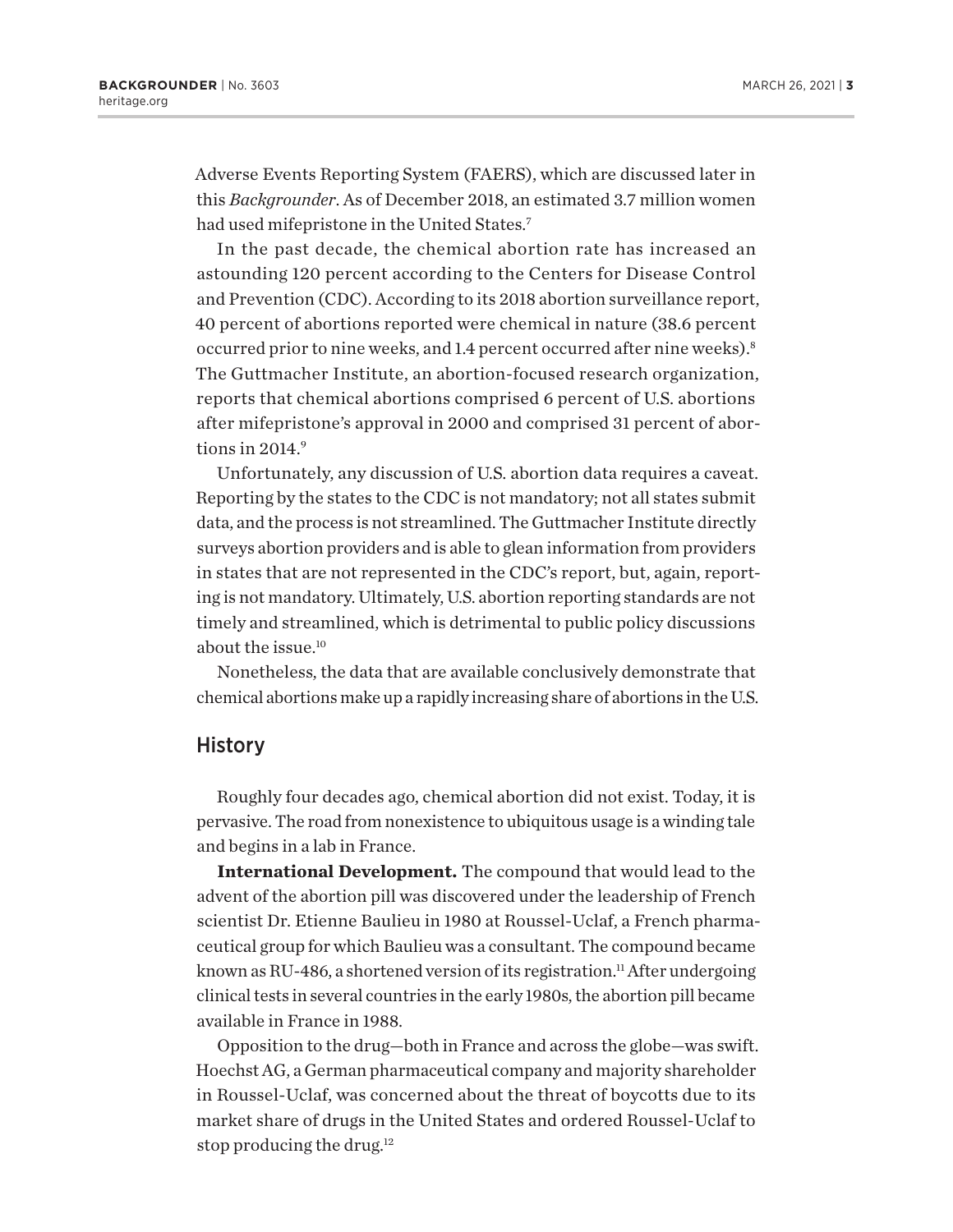<span id="page-2-0"></span>Adverse Events Reporting System (FAERS), which are discussed later in this *Backgrounder*. As of December 2018, an estimated 3.7 million women had used mifepristone in the United States.<sup>7</sup>

In the past decade, the chemical abortion rate has increased an astounding 120 percent according to the Centers for Disease Control and Prevention (CDC). According to its 2018 abortion surveillance report, 40 percent of abortions reported were chemical in nature (38.6 percent occurred prior to nine weeks, and 1.4 percent occurred after nine weeks)[.8](#page-18-0) The Guttmacher Institute, an abortion-focused research organization, reports that chemical abortions comprised 6 percent of U.S. abortions after mifepristone's approval in 2000 and comprised 31 percent of abortions in  $2014<sup>9</sup>$ 

Unfortunately, any discussion of U.S. abortion data requires a caveat. Reporting by the states to the CDC is not mandatory; not all states submit data, and the process is not streamlined. The Guttmacher Institute directly surveys abortion providers and is able to glean information from providers in states that are not represented in the CDC's report, but, again, reporting is not mandatory. Ultimately, U.S. abortion reporting standards are not timely and streamlined, which is detrimental to public policy discussions about the issue[.10](#page-18-0)

Nonetheless, the data that are available conclusively demonstrate that chemical abortions make up a rapidly increasing share of abortions in the U.S.

#### **History**

Roughly four decades ago, chemical abortion did not exist. Today, it is pervasive. The road from nonexistence to ubiquitous usage is a winding tale and begins in a lab in France.

**International Development.** The compound that would lead to the advent of the abortion pill was discovered under the leadership of French scientist Dr. Etienne Baulieu in 1980 at Roussel-Uclaf, a French pharmaceutical group for which Baulieu was a consultant. The compound became known as RU-486, a shortened version of its registration.<sup>11</sup> After undergoing clinical tests in several countries in the early 1980s, the abortion pill became available in France in 1988.

Opposition to the drug—both in France and across the globe—was swift. Hoechst AG, a German pharmaceutical company and majority shareholder in Roussel-Uclaf, was concerned about the threat of boycotts due to its market share of drugs in the United States and ordered Roussel-Uclaf to stop producing the drug.<sup>[12](#page-18-0)</sup>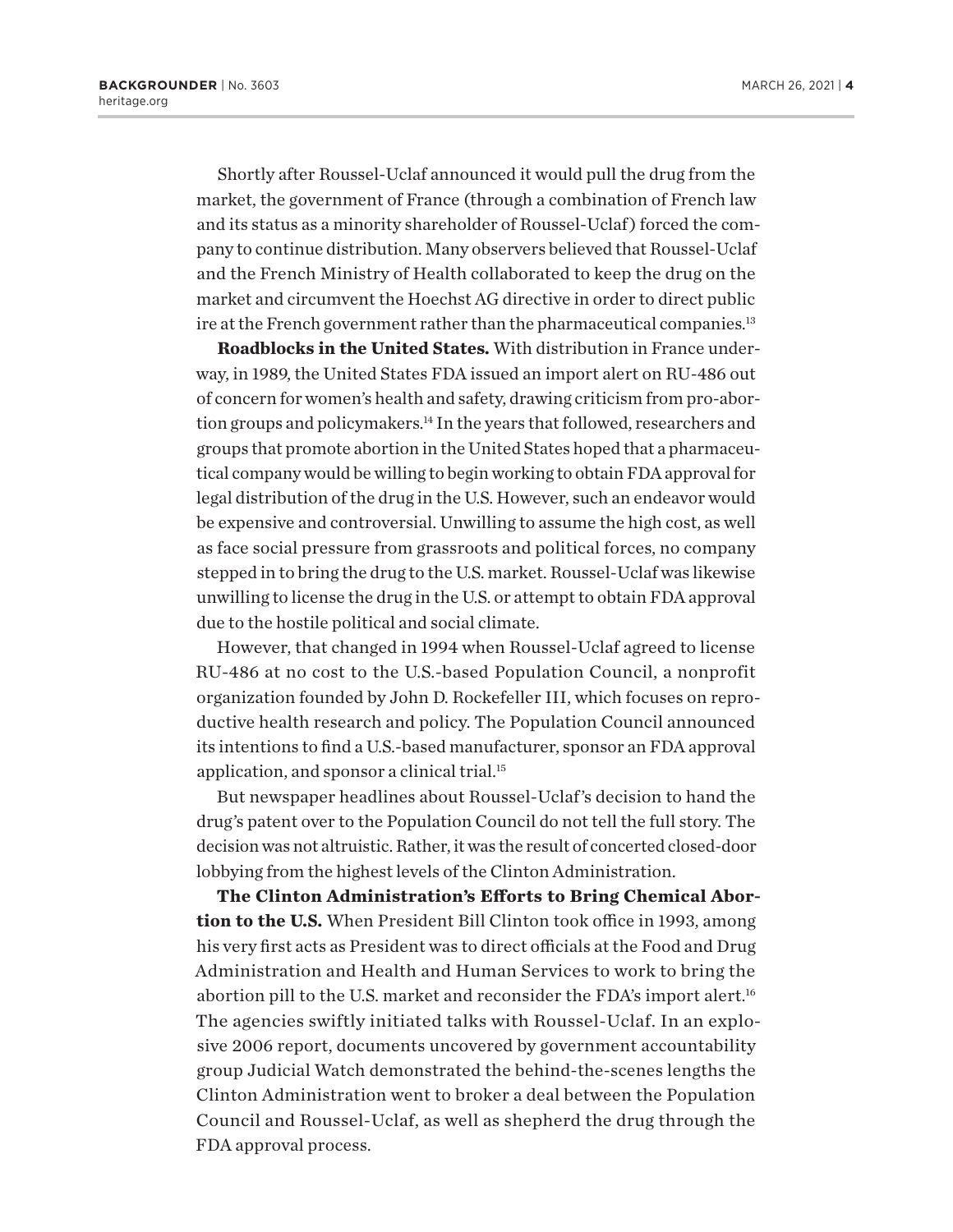<span id="page-3-0"></span>Shortly after Roussel-Uclaf announced it would pull the drug from the market, the government of France (through a combination of French law and its status as a minority shareholder of Roussel-Uclaf ) forced the company to continue distribution. Many observers believed that Roussel-Uclaf and the French Ministry of Health collaborated to keep the drug on the market and circumvent the Hoechst AG directive in order to direct public ire at the French government rather than the pharmaceutical companies.<sup>13</sup>

**Roadblocks in the United States.** With distribution in France underway, in 1989, the United States FDA issued an import alert on RU-486 out of concern for women's health and safety, drawing criticism from pro-abortion groups and policymakers.<sup>14</sup> In the years that followed, researchers and groups that promote abortion in the United States hoped that a pharmaceutical company would be willing to begin working to obtain FDA approval for legal distribution of the drug in the U.S. However, such an endeavor would be expensive and controversial. Unwilling to assume the high cost, as well as face social pressure from grassroots and political forces, no company stepped in to bring the drug to the U.S. market. Roussel-Uclaf was likewise unwilling to license the drug in the U.S. or attempt to obtain FDA approval due to the hostile political and social climate.

However, that changed in 1994 when Roussel-Uclaf agreed to license RU-486 at no cost to the U.S.-based Population Council, a nonprofit organization founded by John D. Rockefeller III, which focuses on reproductive health research and policy. The Population Council announced its intentions to find a U.S.-based manufacturer, sponsor an FDA approval application, and sponsor a clinical trial[.15](#page-18-0)

But newspaper headlines about Roussel-Uclaf's decision to hand the drug's patent over to the Population Council do not tell the full story. The decision was not altruistic. Rather, it was the result of concerted closed-door lobbying from the highest levels of the Clinton Administration.

**The Clinton Administration's Efforts to Bring Chemical Abortion to the U.S.** When President Bill Clinton took office in 1993, among his very first acts as President was to direct officials at the Food and Drug Administration and Health and Human Services to work to bring the abortion pill to the U.S. market and reconsider the FDA's import alert.<sup>16</sup> The agencies swiftly initiated talks with Roussel-Uclaf. In an explosive 2006 report, documents uncovered by government accountability group Judicial Watch demonstrated the behind-the-scenes lengths the Clinton Administration went to broker a deal between the Population Council and Roussel-Uclaf, as well as shepherd the drug through the FDA approval process.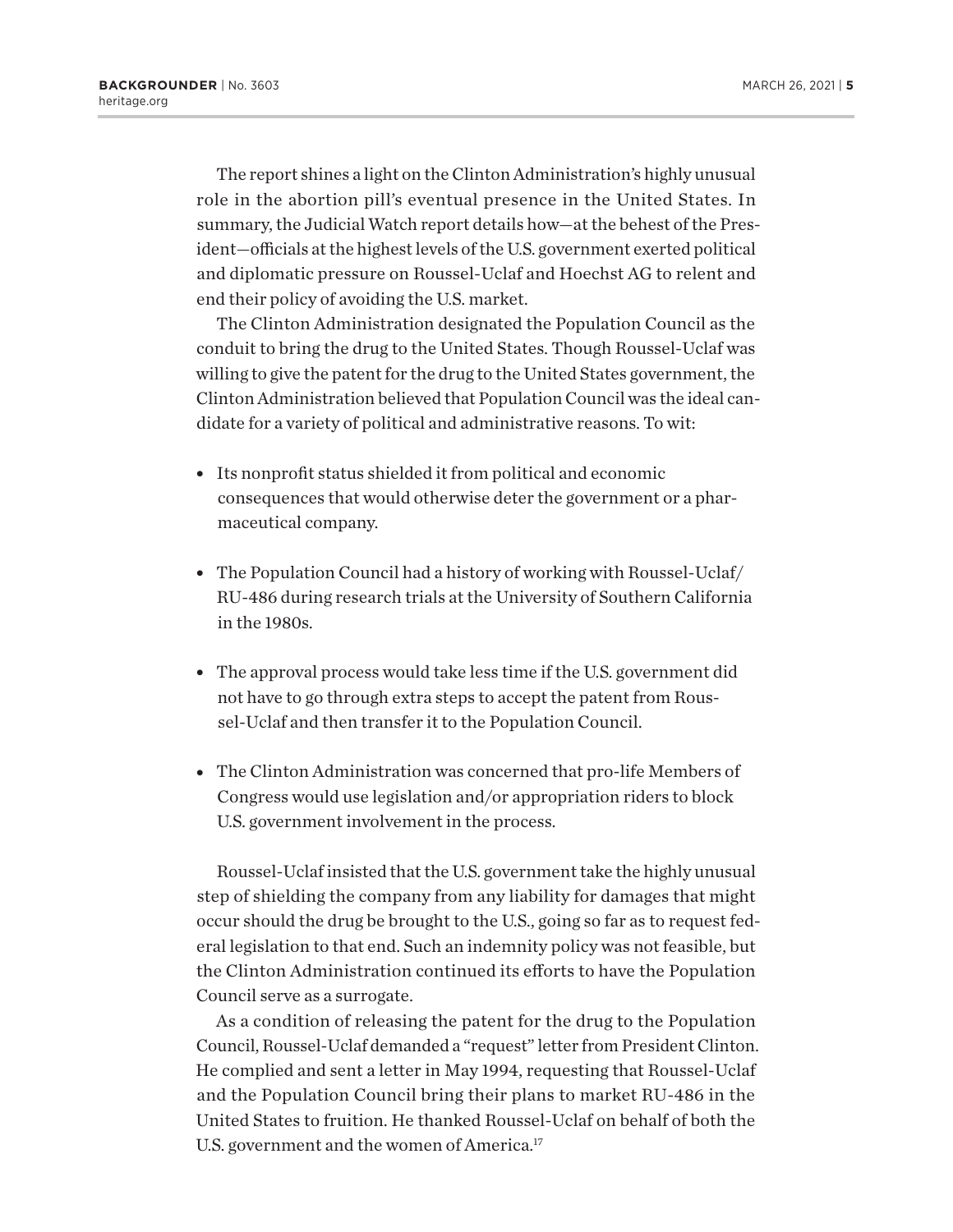<span id="page-4-0"></span>The report shines a light on the Clinton Administration's highly unusual role in the abortion pill's eventual presence in the United States. In summary, the Judicial Watch report details how—at the behest of the President—officials at the highest levels of the U.S. government exerted political and diplomatic pressure on Roussel-Uclaf and Hoechst AG to relent and end their policy of avoiding the U.S. market.

The Clinton Administration designated the Population Council as the conduit to bring the drug to the United States. Though Roussel-Uclaf was willing to give the patent for the drug to the United States government, the Clinton Administration believed that Population Council was the ideal candidate for a variety of political and administrative reasons. To wit:

- Its nonprofit status shielded it from political and economic consequences that would otherwise deter the government or a pharmaceutical company.
- The Population Council had a history of working with Roussel-Uclaf/ RU-486 during research trials at the University of Southern California in the 1980s.
- The approval process would take less time if the U.S. government did not have to go through extra steps to accept the patent from Roussel-Uclaf and then transfer it to the Population Council.
- The Clinton Administration was concerned that pro-life Members of Congress would use legislation and/or appropriation riders to block U.S. government involvement in the process.

Roussel-Uclaf insisted that the U.S. government take the highly unusual step of shielding the company from any liability for damages that might occur should the drug be brought to the U.S., going so far as to request federal legislation to that end. Such an indemnity policy was not feasible, but the Clinton Administration continued its efforts to have the Population Council serve as a surrogate.

As a condition of releasing the patent for the drug to the Population Council, Roussel-Uclaf demanded a "request" letter from President Clinton. He complied and sent a letter in May 1994, requesting that Roussel-Uclaf and the Population Council bring their plans to market RU-486 in the United States to fruition. He thanked Roussel-Uclaf on behalf of both the U.S. government and the women of America.<sup>[17](#page-18-0)</sup>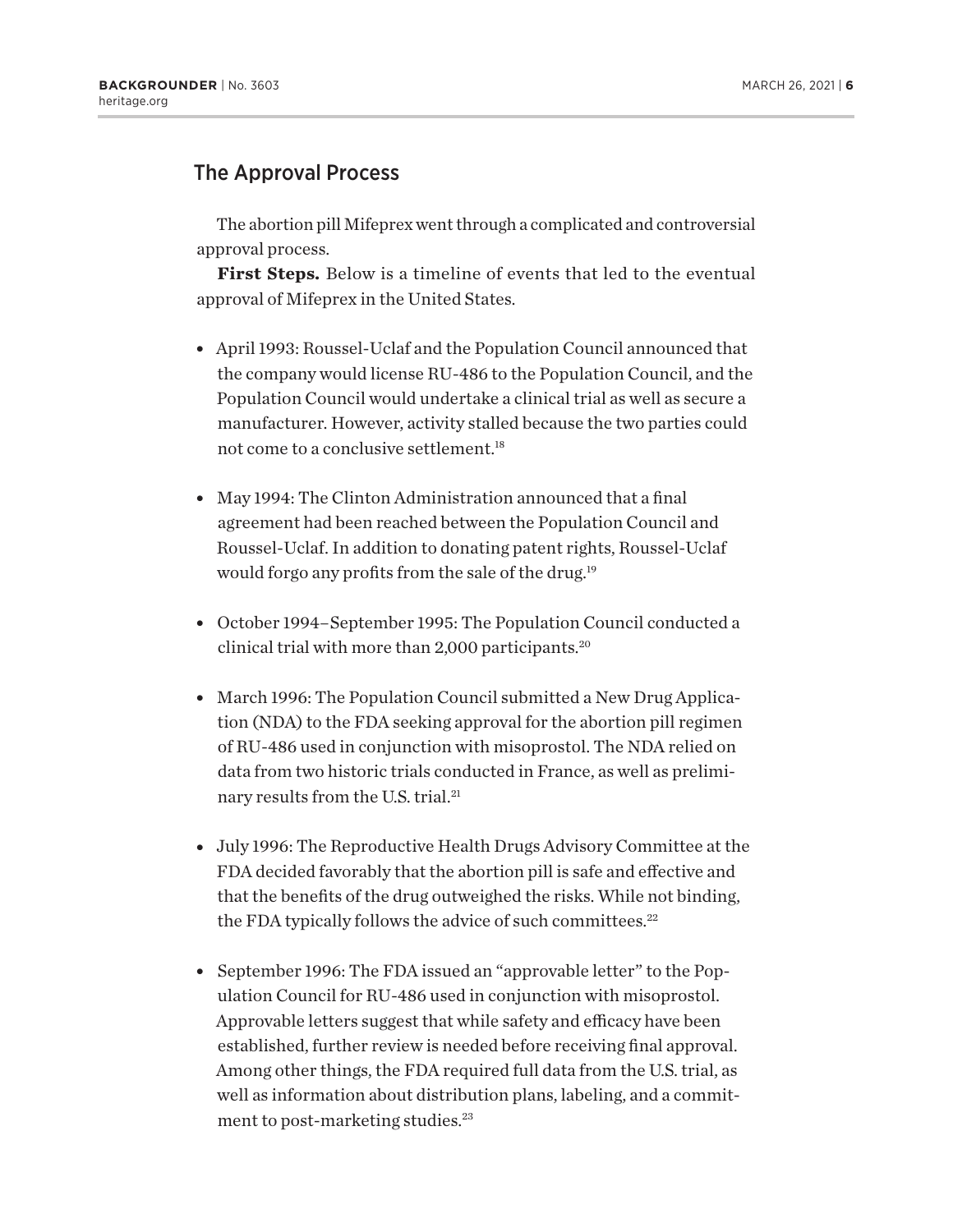## <span id="page-5-0"></span>The Approval Process

The abortion pill Mifeprex went through a complicated and controversial approval process.

**First Steps.** Below is a timeline of events that led to the eventual approval of Mifeprex in the United States.

- April 1993: Roussel-Uclaf and the Population Council announced that the company would license RU-486 to the Population Council, and the Population Council would undertake a clinical trial as well as secure a manufacturer. However, activity stalled because the two parties could not come to a conclusive settlement[.18](#page-18-0)
- May 1994: The Clinton Administration announced that a final agreement had been reached between the Population Council and Roussel-Uclaf. In addition to donating patent rights, Roussel-Uclaf would forgo any profits from the sale of the drug.<sup>19</sup>
- October 1994–September 1995: The Population Council conducted a clinical trial with more than 2,000 participants.<sup>20</sup>
- March 1996: The Population Council submitted a New Drug Application (NDA) to the FDA seeking approval for the abortion pill regimen of RU-486 used in conjunction with misoprostol. The NDA relied on data from two historic trials conducted in France, as well as prelimi-nary results from the U.S. trial.<sup>[21](#page-18-0)</sup>
- July 1996: The Reproductive Health Drugs Advisory Committee at the FDA decided favorably that the abortion pill is safe and effective and that the benefits of the drug outweighed the risks. While not binding, the FDA typically follows the advice of such committees.<sup>[22](#page-18-0)</sup>
- September 1996: The FDA issued an "approvable letter" to the Population Council for RU-486 used in conjunction with misoprostol. Approvable letters suggest that while safety and efficacy have been established, further review is needed before receiving final approval. Among other things, the FDA required full data from the U.S. trial, as well as information about distribution plans, labeling, and a commit-ment to post-marketing studies.<sup>[23](#page-18-0)</sup>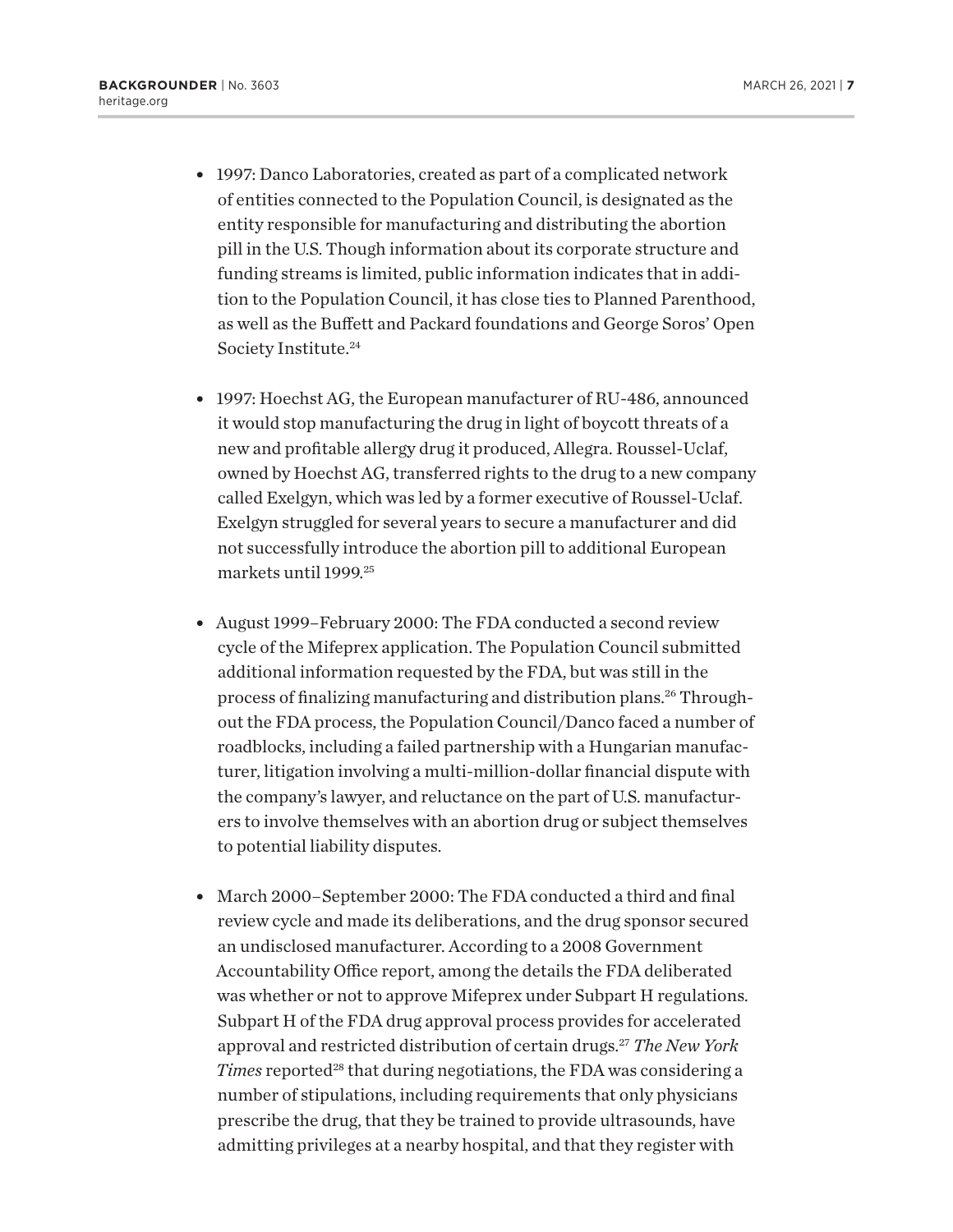- <span id="page-6-0"></span>• 1997: Danco Laboratories, created as part of a complicated network of entities connected to the Population Council, is designated as the entity responsible for manufacturing and distributing the abortion pill in the U.S. Though information about its corporate structure and funding streams is limited, public information indicates that in addition to the Population Council, it has close ties to Planned Parenthood, as well as the Buffett and Packard foundations and George Soros' Open Society Institute.[24](#page-18-0)
- 1997: Hoechst AG, the European manufacturer of RU-486, announced it would stop manufacturing the drug in light of boycott threats of a new and profitable allergy drug it produced, Allegra. Roussel-Uclaf, owned by Hoechst AG, transferred rights to the drug to a new company called Exelgyn, which was led by a former executive of Roussel-Uclaf. Exelgyn struggled for several years to secure a manufacturer and did not successfully introduce the abortion pill to additional European markets until 1999.[25](#page-19-0)
- August 1999–February 2000: The FDA conducted a second review cycle of the Mifeprex application. The Population Council submitted additional information requested by the FDA, but was still in the process of finalizing manufacturing and distribution plans[.26](#page-19-0) Throughout the FDA process, the Population Council/Danco faced a number of roadblocks, including a failed partnership with a Hungarian manufacturer, litigation involving a multi-million-dollar financial dispute with the company's lawyer, and reluctance on the part of U.S. manufacturers to involve themselves with an abortion drug or subject themselves to potential liability disputes.
- March 2000–September 2000: The FDA conducted a third and final review cycle and made its deliberations, and the drug sponsor secured an undisclosed manufacturer. According to a 2008 Government Accountability Office report, among the details the FDA deliberated was whether or not to approve Mifeprex under Subpart H regulations. Subpart H of the FDA drug approval process provides for accelerated approval and restricted distribution of certain drugs.[27](#page-19-0) *The New York Times* reported<sup>28</sup> that during negotiations, the FDA was considering a number of stipulations, including requirements that only physicians prescribe the drug, that they be trained to provide ultrasounds, have admitting privileges at a nearby hospital, and that they register with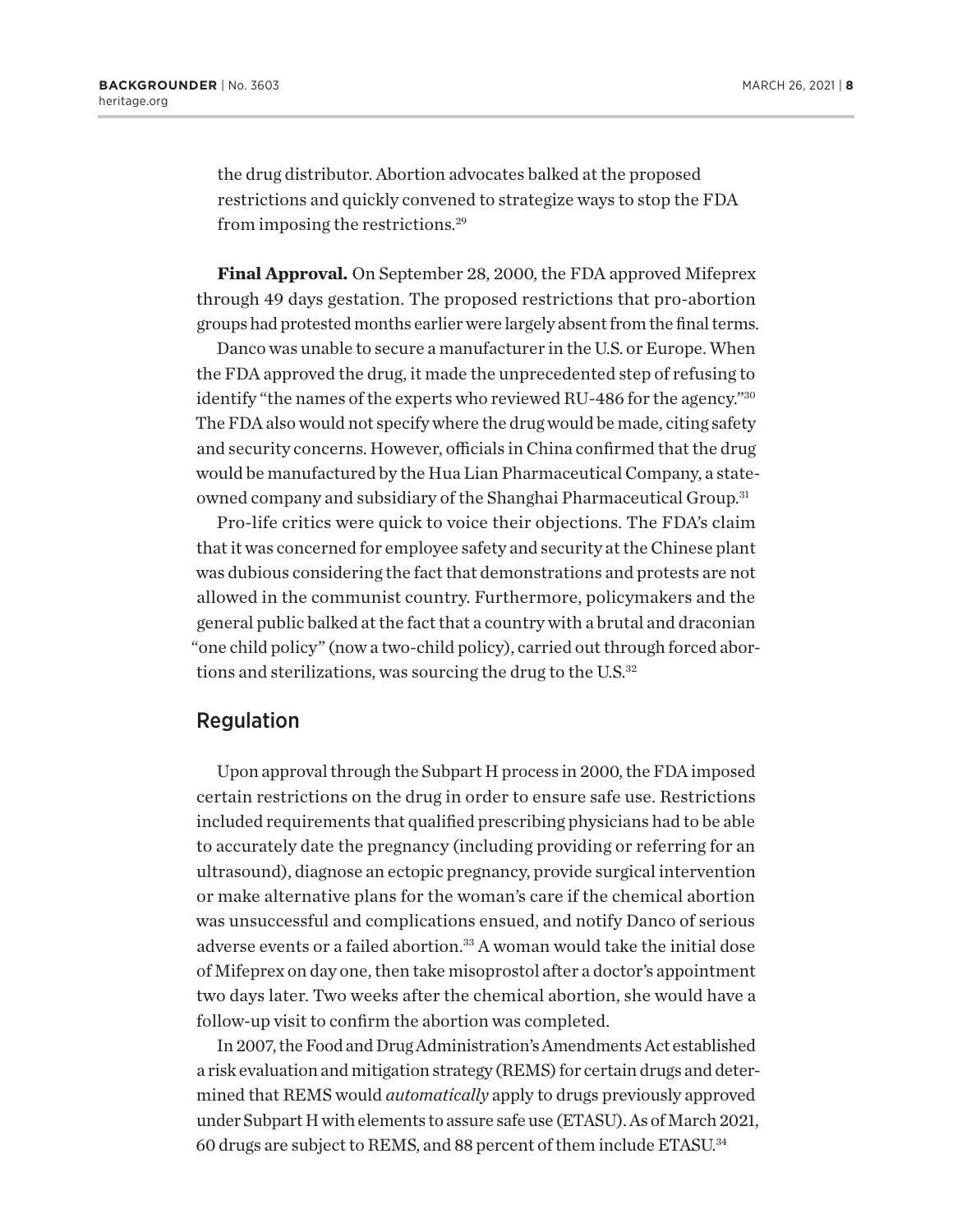<span id="page-7-0"></span>the drug distributor. Abortion advocates balked at the proposed restrictions and quickly convened to strategize ways to stop the FDA from imposing the restrictions.[29](#page-19-0)

**Final Approval.** On September 28, 2000, the FDA approved Mifeprex through 49 days gestation. The proposed restrictions that pro-abortion groups had protested months earlier were largely absent from the final terms.

Danco was unable to secure a manufacturer in the U.S. or Europe. When the FDA approved the drug, it made the unprecedented step of refusing to identify "the names of the experts who reviewed RU-486 for the agency.["30](#page-19-0) The FDA also would not specify where the drug would be made, citing safety and security concerns. However, officials in China confirmed that the drug would be manufactured by the Hua Lian Pharmaceutical Company, a stateowned company and subsidiary of the Shanghai Pharmaceutical Group.<sup>31</sup>

Pro-life critics were quick to voice their objections. The FDA's claim that it was concerned for employee safety and security at the Chinese plant was dubious considering the fact that demonstrations and protests are not allowed in the communist country. Furthermore, policymakers and the general public balked at the fact that a country with a brutal and draconian "one child policy" (now a two-child policy), carried out through forced abortions and sterilizations, was sourcing the drug to the U.S. $32$ 

#### Regulation

Upon approval through the Subpart H process in 2000, the FDA imposed certain restrictions on the drug in order to ensure safe use. Restrictions included requirements that qualified prescribing physicians had to be able to accurately date the pregnancy (including providing or referring for an ultrasound), diagnose an ectopic pregnancy, provide surgical intervention or make alternative plans for the woman's care if the chemical abortion was unsuccessful and complications ensued, and notify Danco of serious adverse events or a failed abortion.<sup>33</sup> A woman would take the initial dose of Mifeprex on day one, then take misoprostol after a doctor's appointment two days later. Two weeks after the chemical abortion, she would have a follow-up visit to confirm the abortion was completed.

In 2007, the Food and Drug Administration's Amendments Act established a risk evaluation and mitigation strategy (REMS) for certain drugs and determined that REMS would *automatically* apply to drugs previously approved under Subpart H with elements to assure safe use (ETASU). As of March 2021, 60 drugs are subject to REMS, and 88 percent of them include ETASU[.34](#page-19-0)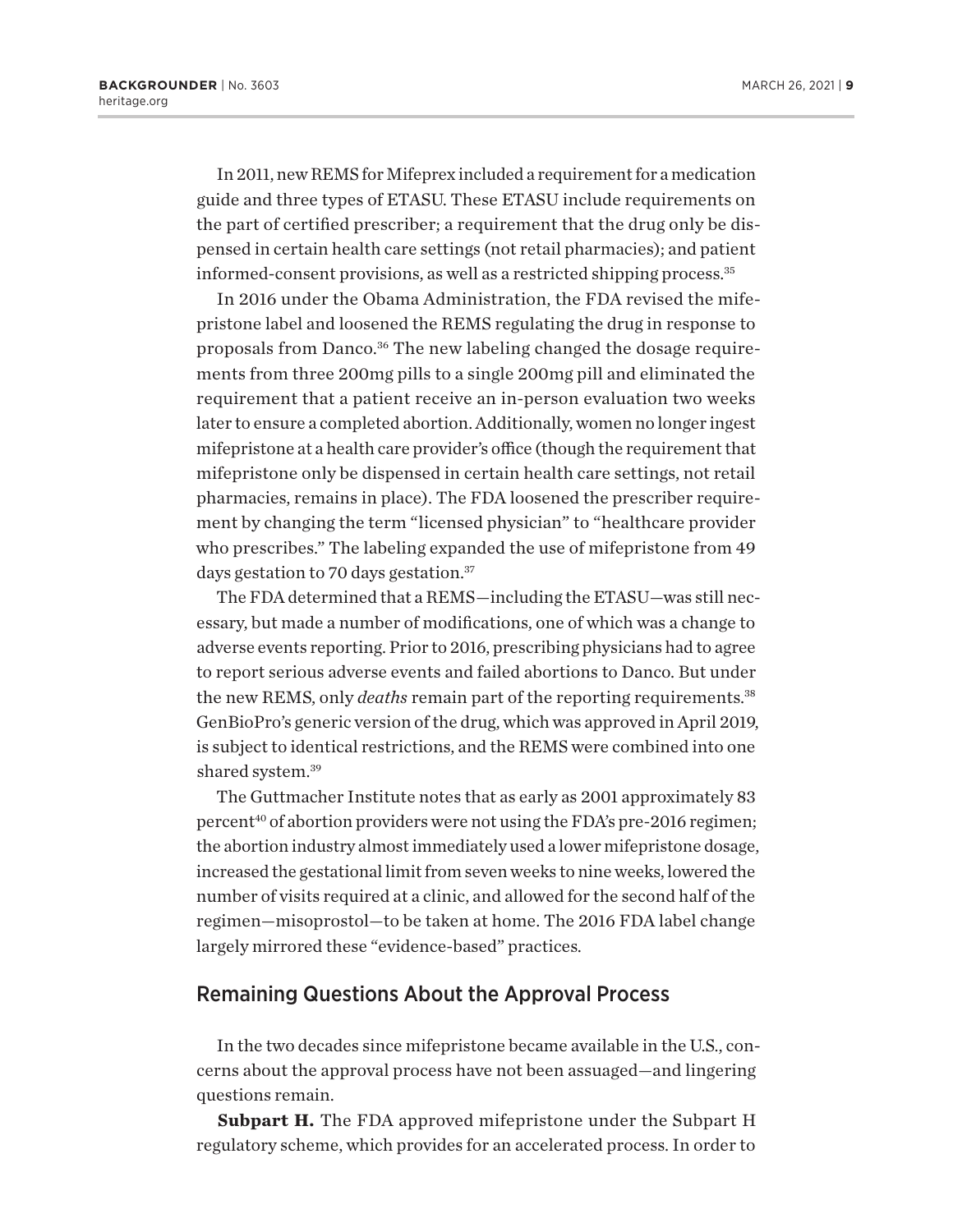<span id="page-8-0"></span>In 2011, new REMS for Mifeprex included a requirement for a medication guide and three types of ETASU. These ETASU include requirements on the part of certified prescriber; a requirement that the drug only be dispensed in certain health care settings (not retail pharmacies); and patient informed-consent provisions, as well as a restricted shipping process[.35](#page-19-0)

In 2016 under the Obama Administration, the FDA revised the mifepristone label and loosened the REMS regulating the drug in response to proposals from Danco.<sup>36</sup> The new labeling changed the dosage requirements from three 200mg pills to a single 200mg pill and eliminated the requirement that a patient receive an in-person evaluation two weeks later to ensure a completed abortion. Additionally, women no longer ingest mifepristone at a health care provider's office (though the requirement that mifepristone only be dispensed in certain health care settings, not retail pharmacies, remains in place). The FDA loosened the prescriber requirement by changing the term "licensed physician" to "healthcare provider who prescribes." The labeling expanded the use of mifepristone from 49 days gestation to 70 days gestation.<sup>37</sup>

The FDA determined that a REMS—including the ETASU—was still necessary, but made a number of modifications, one of which was a change to adverse events reporting. Prior to 2016, prescribing physicians had to agree to report serious adverse events and failed abortions to Danco. But under the new REMS, only *deaths* remain part of the reporting requirements[.38](#page-19-0) GenBioPro's generic version of the drug, which was approved in April 2019, is subject to identical restrictions, and the REMS were combined into one shared system.<sup>39</sup>

The Guttmacher Institute notes that as early as 2001 approximately 83 percent<sup>[40](#page-19-0)</sup> of abortion providers were not using the FDA's pre-2016 regimen; the abortion industry almost immediately used a lower mifepristone dosage, increased the gestational limit from seven weeks to nine weeks, lowered the number of visits required at a clinic, and allowed for the second half of the regimen—misoprostol—to be taken at home. The 2016 FDA label change largely mirrored these "evidence-based" practices.

#### Remaining Questions About the Approval Process

In the two decades since mifepristone became available in the U.S., concerns about the approval process have not been assuaged—and lingering questions remain.

**Subpart H.** The FDA approved mifepristone under the Subpart H regulatory scheme, which provides for an accelerated process. In order to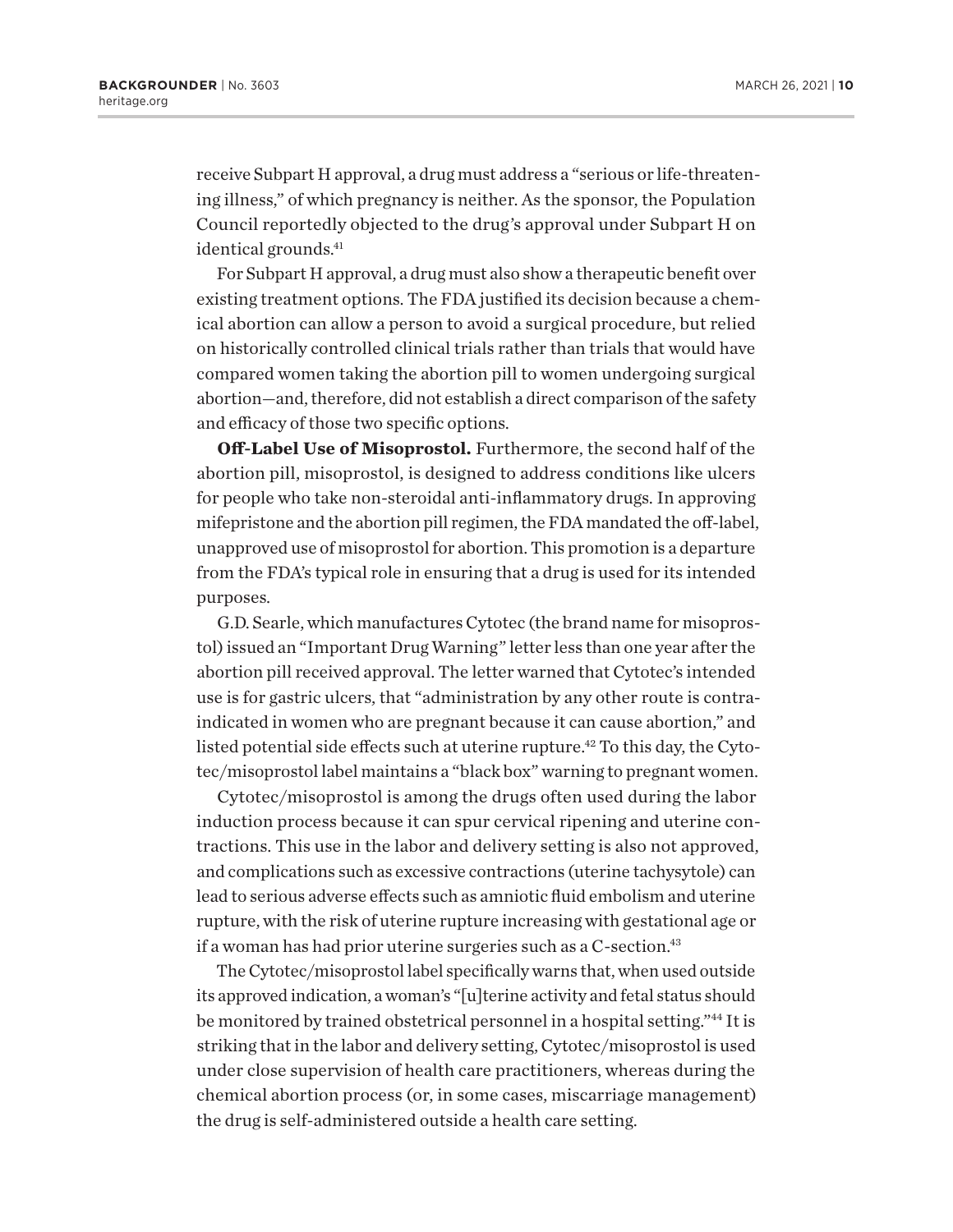<span id="page-9-0"></span>receive Subpart H approval, a drug must address a "serious or life-threatening illness," of which pregnancy is neither. As the sponsor, the Population Council reportedly objected to the drug's approval under Subpart H on identical grounds.<sup>41</sup>

For Subpart H approval, a drug must also show a therapeutic benefit over existing treatment options. The FDA justified its decision because a chemical abortion can allow a person to avoid a surgical procedure, but relied on historically controlled clinical trials rather than trials that would have compared women taking the abortion pill to women undergoing surgical abortion—and, therefore, did not establish a direct comparison of the safety and efficacy of those two specific options.

**Off-Label Use of Misoprostol.** Furthermore, the second half of the abortion pill, misoprostol, is designed to address conditions like ulcers for people who take non-steroidal anti-inflammatory drugs. In approving mifepristone and the abortion pill regimen, the FDA mandated the off-label, unapproved use of misoprostol for abortion. This promotion is a departure from the FDA's typical role in ensuring that a drug is used for its intended purposes.

G.D. Searle, which manufactures Cytotec (the brand name for misoprostol) issued an "Important Drug Warning" letter less than one year after the abortion pill received approval. The letter warned that Cytotec's intended use is for gastric ulcers, that "administration by any other route is contraindicated in women who are pregnant because it can cause abortion," and listed potential side effects such at uterine rupture.<sup>42</sup> To this day, the Cytotec/misoprostol label maintains a "black box" warning to pregnant women.

Cytotec/misoprostol is among the drugs often used during the labor induction process because it can spur cervical ripening and uterine contractions. This use in the labor and delivery setting is also not approved, and complications such as excessive contractions (uterine tachysytole) can lead to serious adverse effects such as amniotic fluid embolism and uterine rupture, with the risk of uterine rupture increasing with gestational age or if a woman has had prior uterine surgeries such as a C-section.<sup>43</sup>

The Cytotec/misoprostol label specifically warns that, when used outside its approved indication, a woman's "[u]terine activity and fetal status should be monitored by trained obstetrical personnel in a hospital setting.["44](#page-19-0) It is striking that in the labor and delivery setting, Cytotec/misoprostol is used under close supervision of health care practitioners, whereas during the chemical abortion process (or, in some cases, miscarriage management) the drug is self-administered outside a health care setting.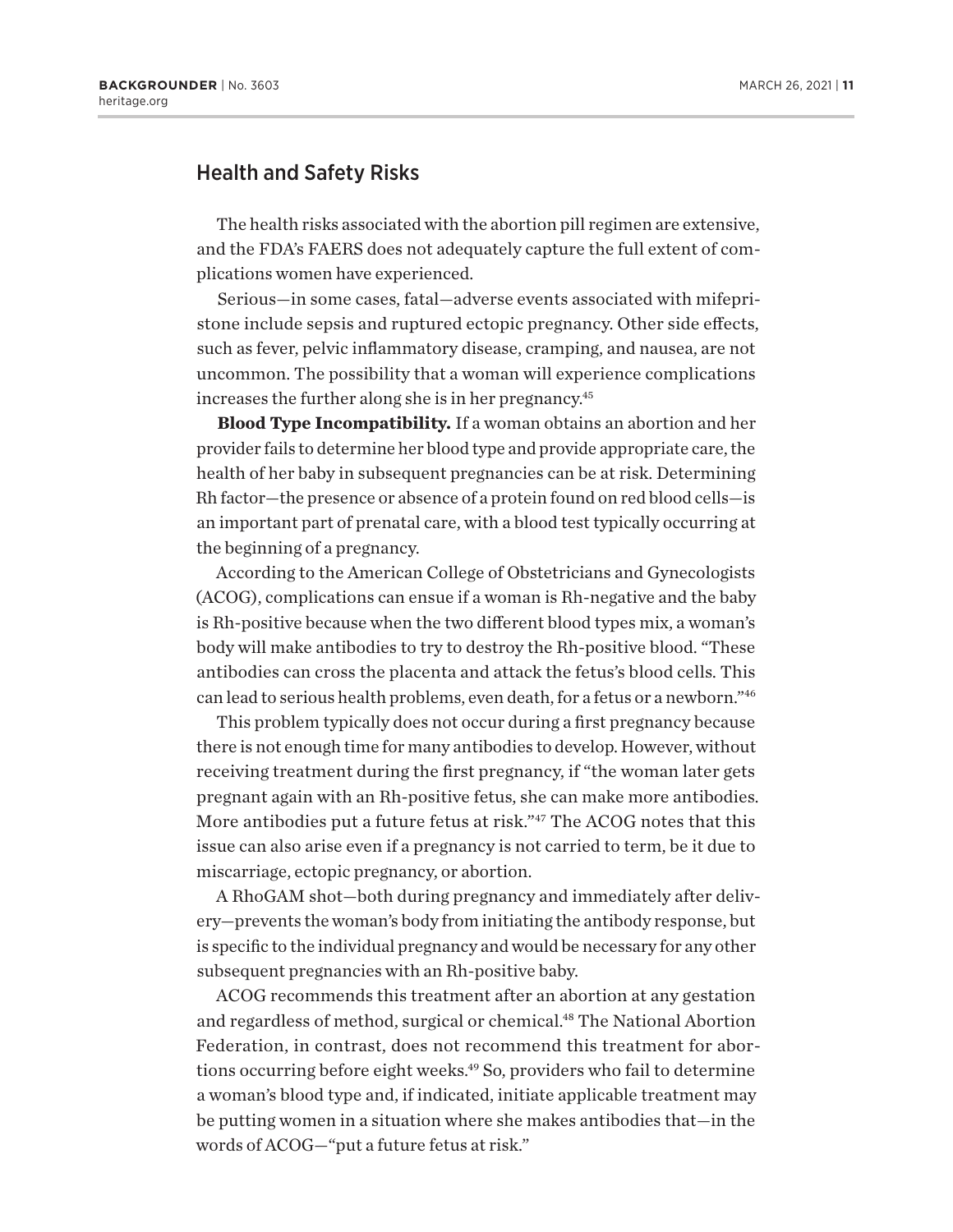## <span id="page-10-0"></span>Health and Safety Risks

The health risks associated with the abortion pill regimen are extensive, and the FDA's FAERS does not adequately capture the full extent of complications women have experienced.

Serious—in some cases, fatal—adverse events associated with mifepristone include sepsis and ruptured ectopic pregnancy. Other side effects, such as fever, pelvic inflammatory disease, cramping, and nausea, are not uncommon. The possibility that a woman will experience complications increases the further along she is in her pregnancy[.45](#page-19-0)

**Blood Type Incompatibility.** If a woman obtains an abortion and her provider fails to determine her blood type and provide appropriate care, the health of her baby in subsequent pregnancies can be at risk. Determining Rh factor—the presence or absence of a protein found on red blood cells—is an important part of prenatal care, with a blood test typically occurring at the beginning of a pregnancy.

According to the American College of Obstetricians and Gynecologists (ACOG), complications can ensue if a woman is Rh-negative and the baby is Rh-positive because when the two different blood types mix, a woman's body will make antibodies to try to destroy the Rh-positive blood. "These antibodies can cross the placenta and attack the fetus's blood cells. This can lead to serious health problems, even death, for a fetus or a newborn.["46](#page-19-0)

This problem typically does not occur during a first pregnancy because there is not enough time for many antibodies to develop. However, without receiving treatment during the first pregnancy, if "the woman later gets pregnant again with an Rh-positive fetus, she can make more antibodies. More antibodies put a future fetus at risk."<sup>[47](#page-19-0)</sup> The ACOG notes that this issue can also arise even if a pregnancy is not carried to term, be it due to miscarriage, ectopic pregnancy, or abortion.

A RhoGAM shot—both during pregnancy and immediately after delivery—prevents the woman's body from initiating the antibody response, but is specific to the individual pregnancy and would be necessary for any other subsequent pregnancies with an Rh-positive baby.

ACOG recommends this treatment after an abortion at any gestation and regardless of method, surgical or chemical[.48](#page-19-0) The National Abortion Federation, in contrast, does not recommend this treatment for abortions occurring before eight weeks[.49](#page-19-0) So, providers who fail to determine a woman's blood type and, if indicated, initiate applicable treatment may be putting women in a situation where she makes antibodies that—in the words of ACOG—"put a future fetus at risk."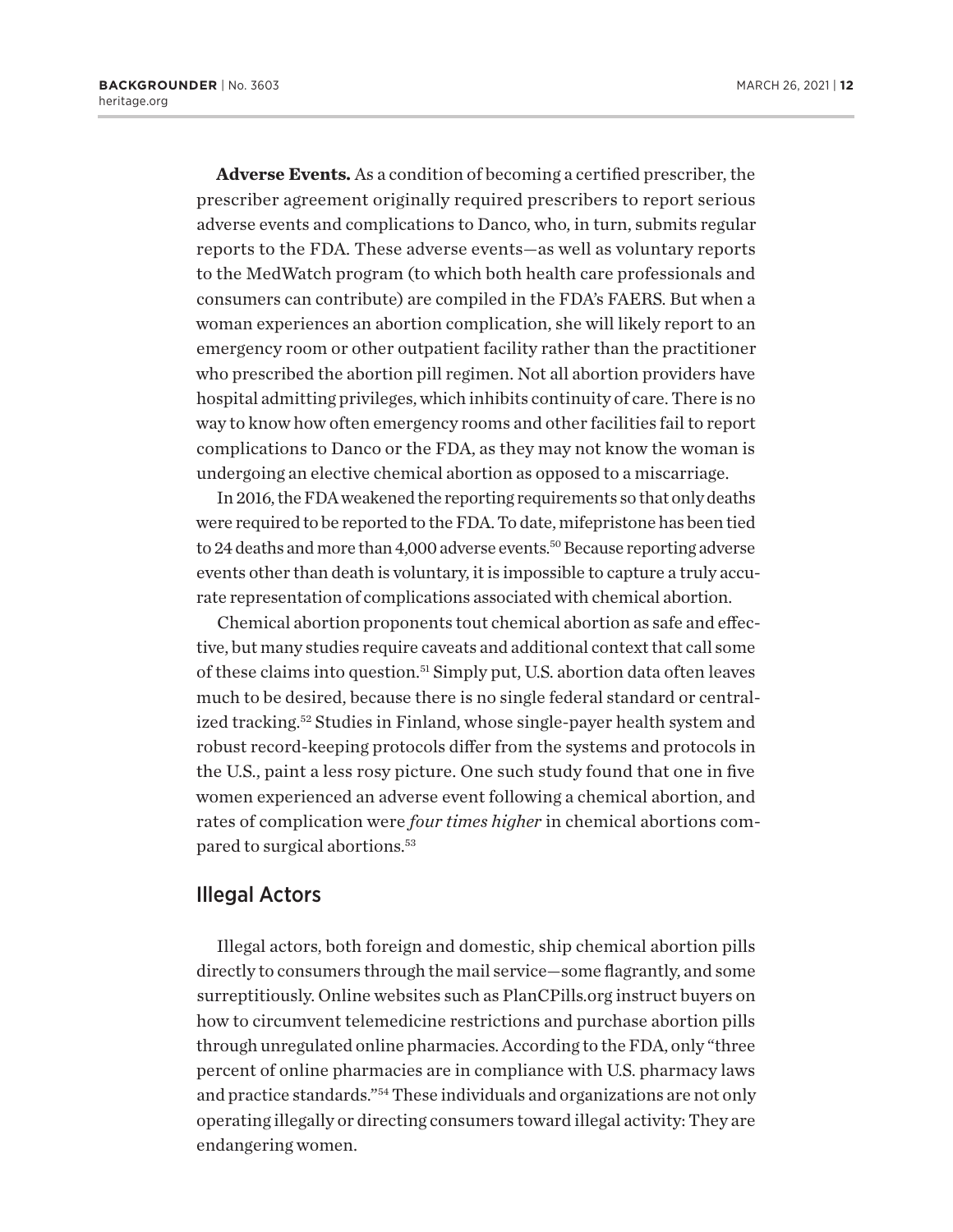<span id="page-11-0"></span>**Adverse Events.** As a condition of becoming a certified prescriber, the prescriber agreement originally required prescribers to report serious adverse events and complications to Danco, who, in turn, submits regular reports to the FDA. These adverse events—as well as voluntary reports to the MedWatch program (to which both health care professionals and consumers can contribute) are compiled in the FDA's FAERS. But when a woman experiences an abortion complication, she will likely report to an emergency room or other outpatient facility rather than the practitioner who prescribed the abortion pill regimen. Not all abortion providers have hospital admitting privileges, which inhibits continuity of care. There is no way to know how often emergency rooms and other facilities fail to report complications to Danco or the FDA, as they may not know the woman is undergoing an elective chemical abortion as opposed to a miscarriage.

In 2016, the FDA weakened the reporting requirements so that only deaths were required to be reported to the FDA. To date, mifepristone has been tied to 24 deaths and more than 4,000 adverse events.<sup>50</sup> Because reporting adverse events other than death is voluntary, it is impossible to capture a truly accurate representation of complications associated with chemical abortion.

Chemical abortion proponents tout chemical abortion as safe and effective, but many studies require caveats and additional context that call some of these claims into question.[51](#page-20-0) Simply put, U.S. abortion data often leaves much to be desired, because there is no single federal standard or centralized tracking[.52](#page-20-0) Studies in Finland, whose single-payer health system and robust record-keeping protocols differ from the systems and protocols in the U.S., paint a less rosy picture. One such study found that one in five women experienced an adverse event following a chemical abortion, and rates of complication were *four times higher* in chemical abortions compared to surgical abortions[.53](#page-20-0)

#### Illegal Actors

Illegal actors, both foreign and domestic, ship chemical abortion pills directly to consumers through the mail service—some flagrantly, and some surreptitiously. Online websites such as<PlanCPills.org>instruct buyers on how to circumvent telemedicine restrictions and purchase abortion pills through unregulated online pharmacies. According to the FDA, only "three percent of online pharmacies are in compliance with U.S. pharmacy laws and practice standards."[54](#page-20-0) These individuals and organizations are not only operating illegally or directing consumers toward illegal activity: They are endangering women.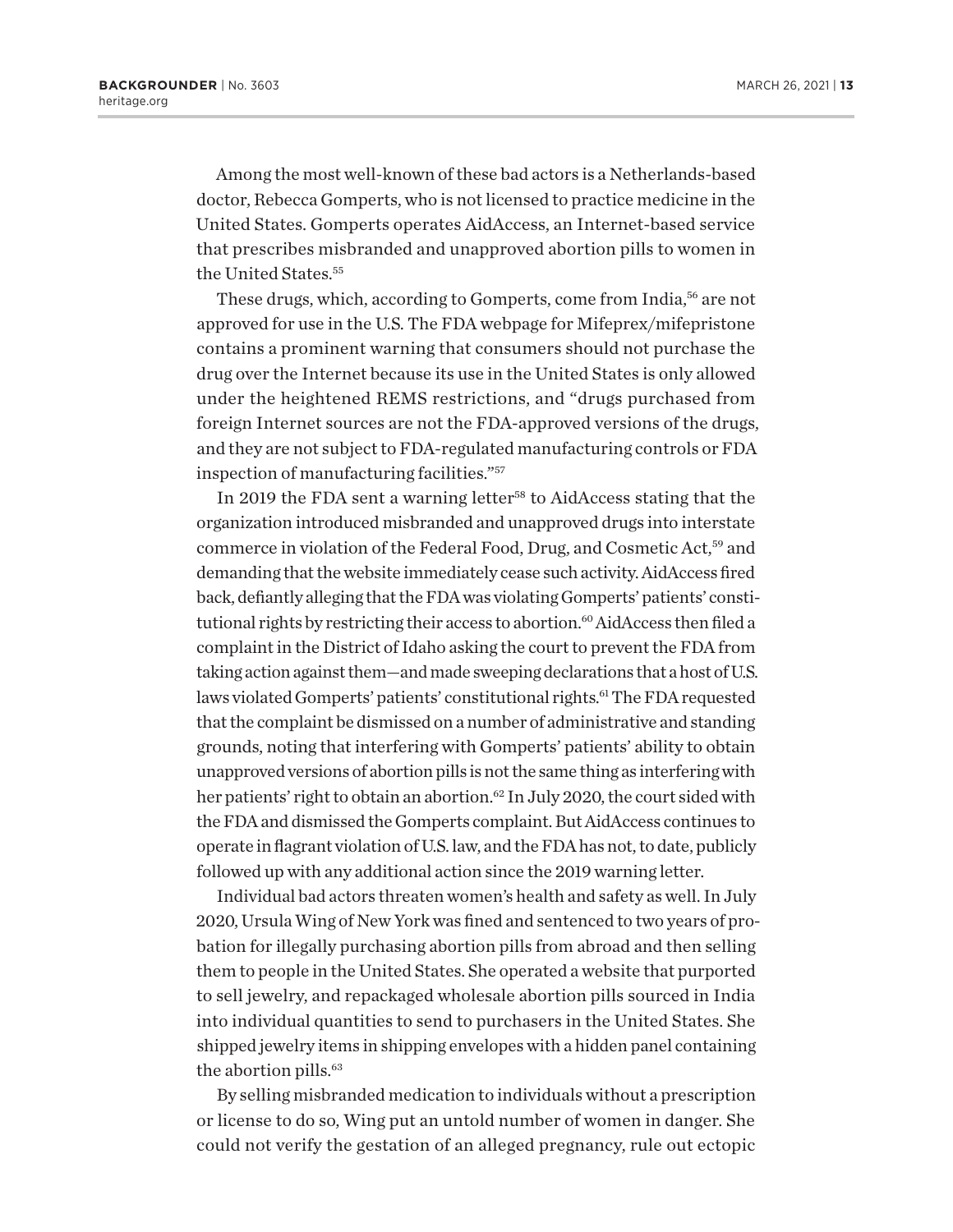<span id="page-12-0"></span>Among the most well-known of these bad actors is a Netherlands-based doctor, Rebecca Gomperts, who is not licensed to practice medicine in the United States. Gomperts operates AidAccess, an Internet-based service that prescribes misbranded and unapproved abortion pills to women in the United States.<sup>[55](#page-20-0)</sup>

These drugs, which, according to Gomperts, come from India,<sup>56</sup> are not approved for use in the U.S. The FDA webpage for Mifeprex/mifepristone contains a prominent warning that consumers should not purchase the drug over the Internet because its use in the United States is only allowed under the heightened REMS restrictions, and "drugs purchased from foreign Internet sources are not the FDA-approved versions of the drugs, and they are not subject to FDA-regulated manufacturing controls or FDA inspection of manufacturing facilities."[57](#page-20-0)

In 2019 the FDA sent a warning letter<sup>58</sup> to AidAccess stating that the organization introduced misbranded and unapproved drugs into interstate commerce in violation of the Federal Food, Drug, and Cosmetic Act,[59](#page-20-0) and demanding that the website immediately cease such activity. AidAccess fired back, defiantly alleging that the FDA was violating Gomperts' patients' consti-tutional rights by restricting their access to abortion.<sup>[60](#page-20-0)</sup> AidAccess then filed a complaint in the District of Idaho asking the court to prevent the FDA from taking action against them—and made sweeping declarations that a host of U.S. laws violated Gomperts' patients' constitutional rights.<sup>61</sup> The FDA requested that the complaint be dismissed on a number of administrative and standing grounds, noting that interfering with Gomperts' patients' ability to obtain unapproved versions of abortion pills is not the same thing as interfering with her patients' right to obtain an abortion.<sup>62</sup> In July 2020, the court sided with the FDA and dismissed the Gomperts complaint. But AidAccess continues to operate in flagrant violation of U.S. law, and the FDA has not, to date, publicly followed up with any additional action since the 2019 warning letter.

Individual bad actors threaten women's health and safety as well. In July 2020, Ursula Wing of New York was fined and sentenced to two years of probation for illegally purchasing abortion pills from abroad and then selling them to people in the United States. She operated a website that purported to sell jewelry, and repackaged wholesale abortion pills sourced in India into individual quantities to send to purchasers in the United States. She shipped jewelry items in shipping envelopes with a hidden panel containing the abortion pills.<sup>63</sup>

By selling misbranded medication to individuals without a prescription or license to do so, Wing put an untold number of women in danger. She could not verify the gestation of an alleged pregnancy, rule out ectopic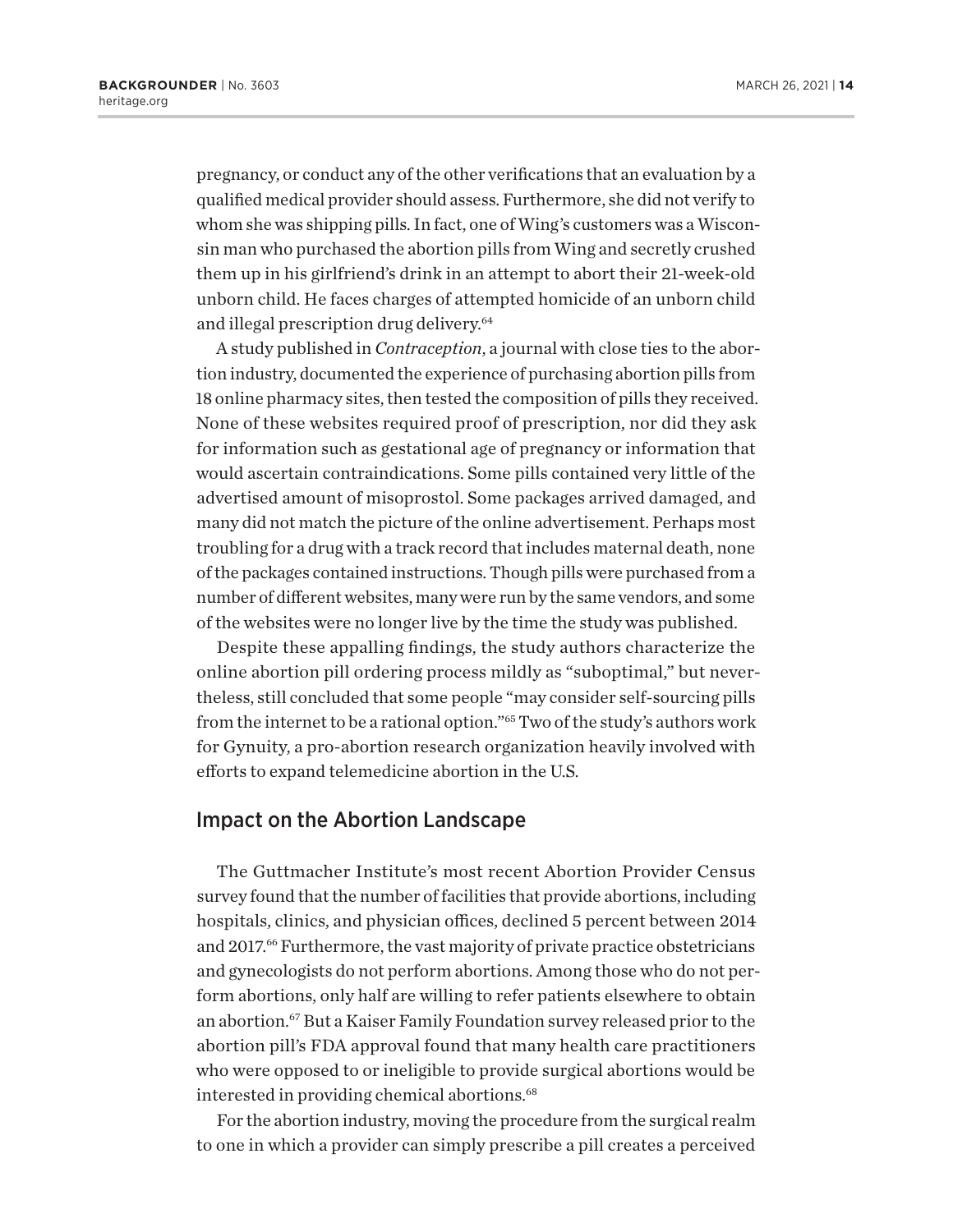<span id="page-13-0"></span>pregnancy, or conduct any of the other verifications that an evaluation by a qualified medical provider should assess. Furthermore, she did not verify to whom she was shipping pills. In fact, one of Wing's customers was a Wisconsin man who purchased the abortion pills from Wing and secretly crushed them up in his girlfriend's drink in an attempt to abort their 21-week-old unborn child. He faces charges of attempted homicide of an unborn child and illegal prescription drug delivery.<sup>64</sup>

A study published in *Contraception*, a journal with close ties to the abortion industry, documented the experience of purchasing abortion pills from 18 online pharmacy sites, then tested the composition of pills they received. None of these websites required proof of prescription, nor did they ask for information such as gestational age of pregnancy or information that would ascertain contraindications. Some pills contained very little of the advertised amount of misoprostol. Some packages arrived damaged, and many did not match the picture of the online advertisement. Perhaps most troubling for a drug with a track record that includes maternal death, none of the packages contained instructions. Though pills were purchased from a number of different websites, many were run by the same vendors, and some of the websites were no longer live by the time the study was published.

Despite these appalling findings, the study authors characterize the online abortion pill ordering process mildly as "suboptimal," but nevertheless, still concluded that some people "may consider self-sourcing pills from the internet to be a rational option.["65](#page-20-0) Two of the study's authors work for Gynuity, a pro-abortion research organization heavily involved with efforts to expand telemedicine abortion in the U.S.

#### Impact on the Abortion Landscape

The Guttmacher Institute's most recent Abortion Provider Census survey found that the number of facilities that provide abortions, including hospitals, clinics, and physician offices, declined 5 percent between 2014 and 2017.<sup>66</sup> Furthermore, the vast majority of private practice obstetricians and gynecologists do not perform abortions. Among those who do not perform abortions, only half are willing to refer patients elsewhere to obtain an abortion.[67](#page-20-0) But a Kaiser Family Foundation survey released prior to the abortion pill's FDA approval found that many health care practitioners who were opposed to or ineligible to provide surgical abortions would be interested in providing chemical abortions.<sup>[68](#page-20-0)</sup>

For the abortion industry, moving the procedure from the surgical realm to one in which a provider can simply prescribe a pill creates a perceived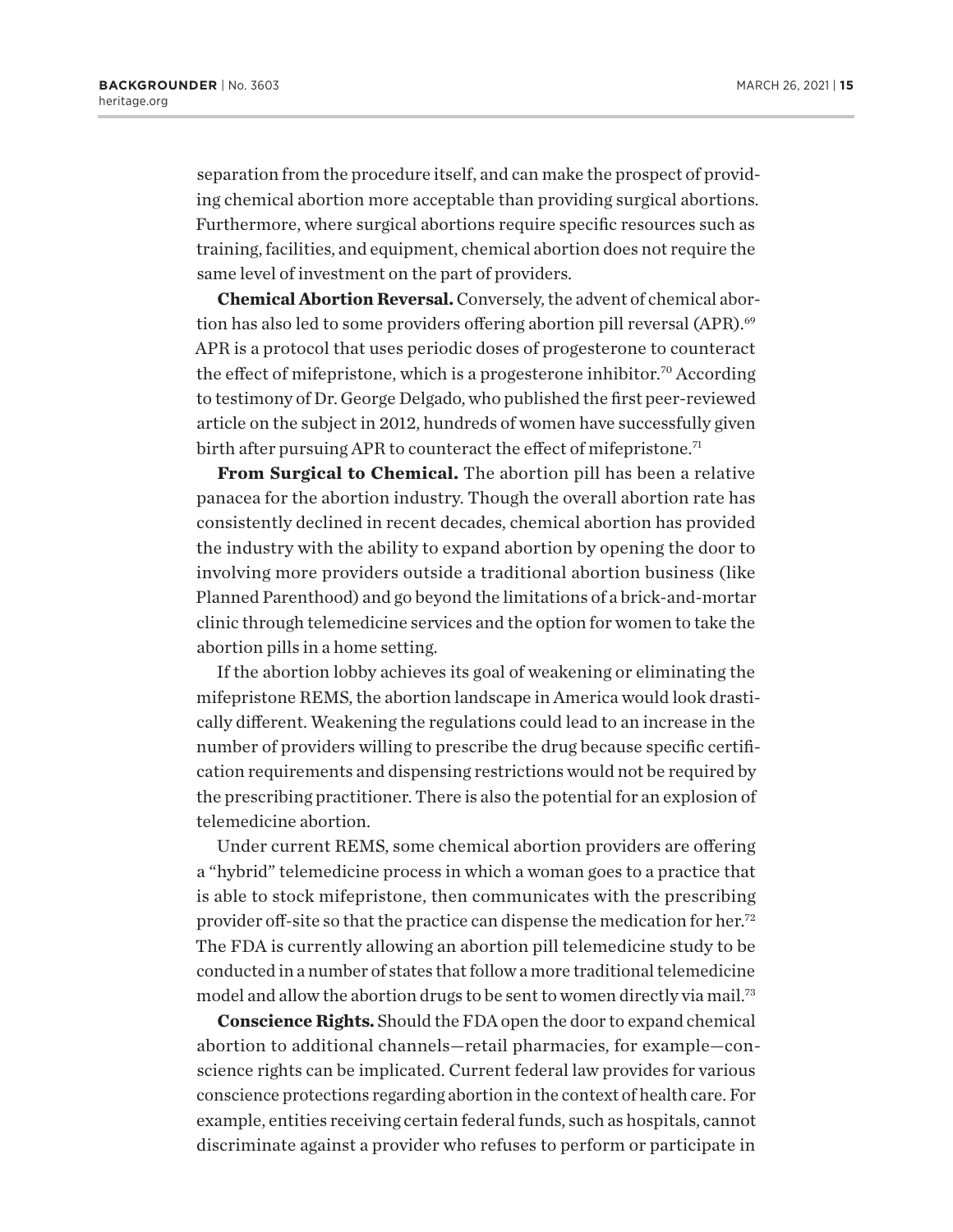<span id="page-14-0"></span>separation from the procedure itself, and can make the prospect of providing chemical abortion more acceptable than providing surgical abortions. Furthermore, where surgical abortions require specific resources such as training, facilities, and equipment, chemical abortion does not require the same level of investment on the part of providers.

**Chemical Abortion Reversal.** Conversely, the advent of chemical abortion has also led to some providers offering abortion pill reversal (APR).<sup>69</sup> APR is a protocol that uses periodic doses of progesterone to counteract the effect of mifepristone, which is a progesterone inhibitor.<sup>[70](#page-20-0)</sup> According to testimony of Dr. George Delgado, who published the first peer-reviewed article on the subject in 2012, hundreds of women have successfully given birth after pursuing APR to counteract the effect of mifepristone.<sup>[71](#page-20-0)</sup>

**From Surgical to Chemical.** The abortion pill has been a relative panacea for the abortion industry. Though the overall abortion rate has consistently declined in recent decades, chemical abortion has provided the industry with the ability to expand abortion by opening the door to involving more providers outside a traditional abortion business (like Planned Parenthood) and go beyond the limitations of a brick-and-mortar clinic through telemedicine services and the option for women to take the abortion pills in a home setting.

If the abortion lobby achieves its goal of weakening or eliminating the mifepristone REMS, the abortion landscape in America would look drastically different. Weakening the regulations could lead to an increase in the number of providers willing to prescribe the drug because specific certification requirements and dispensing restrictions would not be required by the prescribing practitioner. There is also the potential for an explosion of telemedicine abortion.

Under current REMS, some chemical abortion providers are offering a "hybrid" telemedicine process in which a woman goes to a practice that is able to stock mifepristone, then communicates with the prescribing provider off-site so that the practice can dispense the medication for her.[72](#page-20-0) The FDA is currently allowing an abortion pill telemedicine study to be conducted in a number of states that follow a more traditional telemedicine model and allow the abortion drugs to be sent to women directly via mail.<sup>[73](#page-20-0)</sup>

**Conscience Rights.** Should the FDA open the door to expand chemical abortion to additional channels—retail pharmacies, for example—conscience rights can be implicated. Current federal law provides for various conscience protections regarding abortion in the context of health care. For example, entities receiving certain federal funds, such as hospitals, cannot discriminate against a provider who refuses to perform or participate in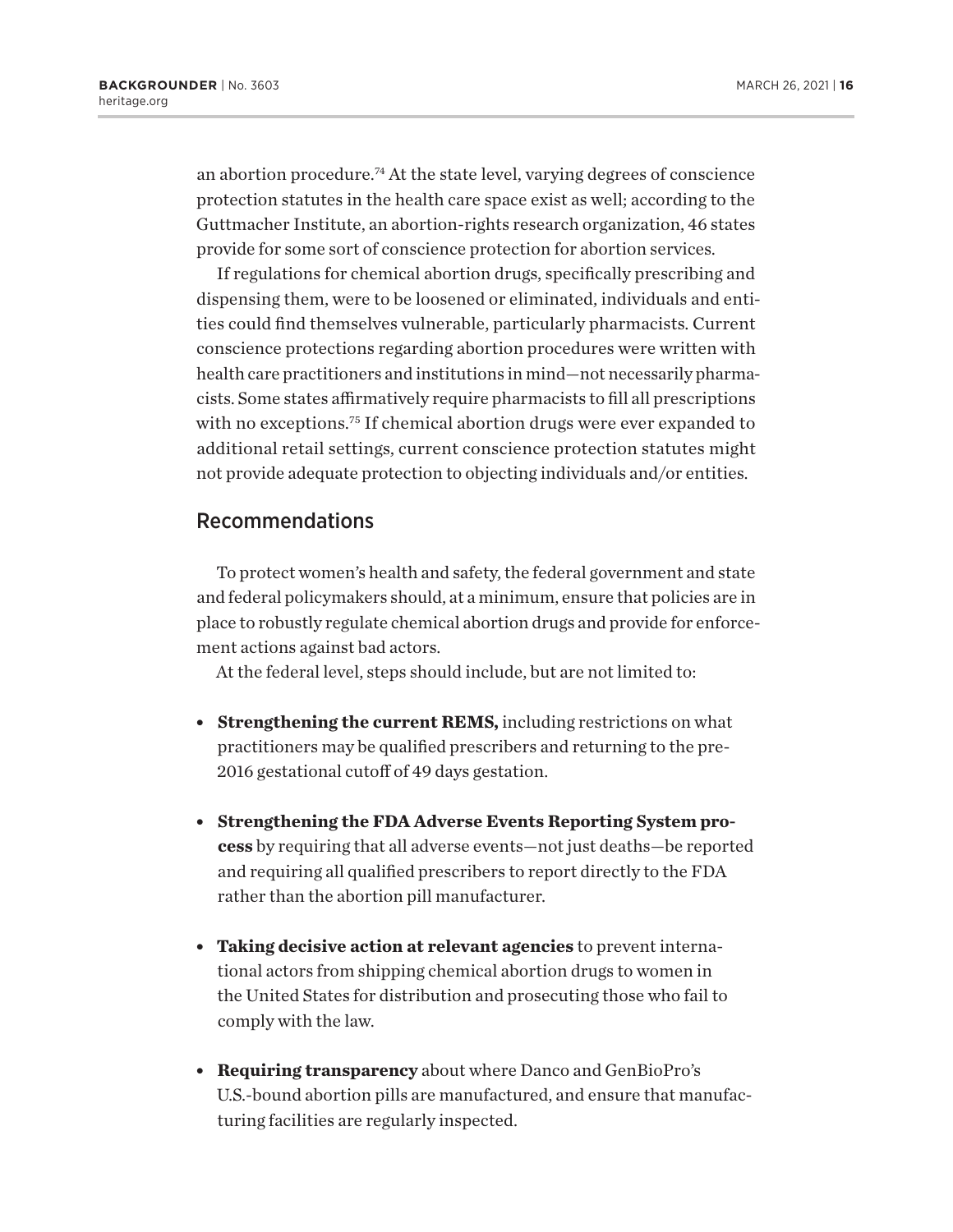<span id="page-15-0"></span>an abortion procedure.[74](#page-20-0) At the state level, varying degrees of conscience protection statutes in the health care space exist as well; according to the Guttmacher Institute, an abortion-rights research organization, 46 states provide for some sort of conscience protection for abortion services.

If regulations for chemical abortion drugs, specifically prescribing and dispensing them, were to be loosened or eliminated, individuals and entities could find themselves vulnerable, particularly pharmacists. Current conscience protections regarding abortion procedures were written with health care practitioners and institutions in mind—not necessarily pharmacists. Some states affirmatively require pharmacists to fill all prescriptions with no exceptions.<sup>75</sup> If chemical abortion drugs were ever expanded to additional retail settings, current conscience protection statutes might not provide adequate protection to objecting individuals and/or entities.

#### Recommendations

To protect women's health and safety, the federal government and state and federal policymakers should, at a minimum, ensure that policies are in place to robustly regulate chemical abortion drugs and provide for enforcement actions against bad actors.

At the federal level, steps should include, but are not limited to:

- **Strengthening the current REMS, including restrictions on what** practitioners may be qualified prescribers and returning to the pre-2016 gestational cutoff of 49 days gestation.
- <sup>l</sup> **Strengthening the FDA Adverse Events Reporting System process** by requiring that all adverse events—not just deaths—be reported and requiring all qualified prescribers to report directly to the FDA rather than the abortion pill manufacturer.
- **Taking decisive action at relevant agencies** to prevent international actors from shipping chemical abortion drugs to women in the United States for distribution and prosecuting those who fail to comply with the law.
- **Requiring transparency** about where Danco and GenBioPro's U.S.-bound abortion pills are manufactured, and ensure that manufacturing facilities are regularly inspected.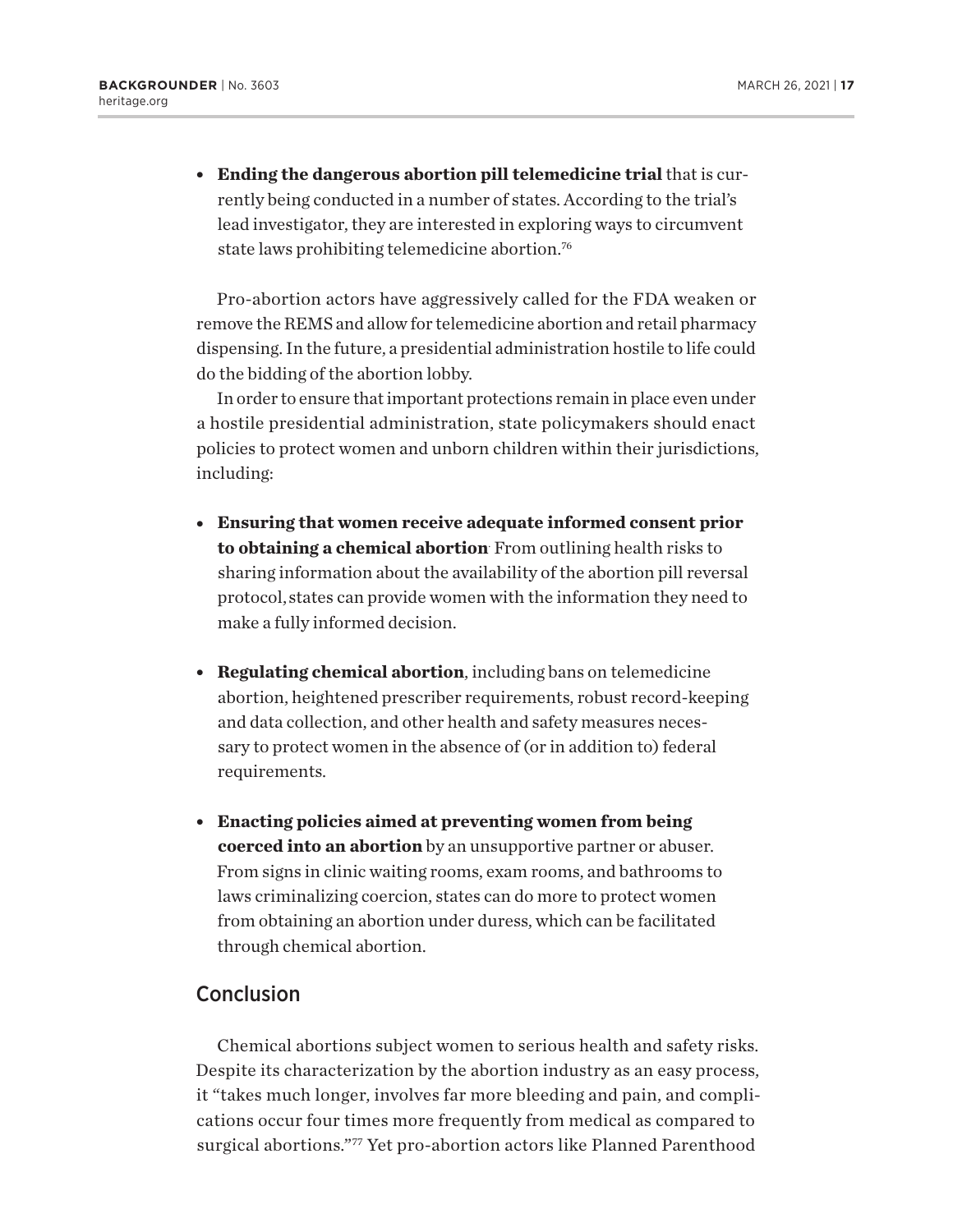<span id="page-16-0"></span><sup>l</sup> **Ending the dangerous abortion pill telemedicine trial** that is currently being conducted in a number of states. According to the trial's lead investigator, they are interested in exploring ways to circumvent state laws prohibiting telemedicine abortion.[76](#page-20-0)

Pro-abortion actors have aggressively called for the FDA weaken or remove the REMS and allow for telemedicine abortion and retail pharmacy dispensing. In the future, a presidential administration hostile to life could do the bidding of the abortion lobby.

In order to ensure that important protections remain in place even under a hostile presidential administration, state policymakers should enact policies to protect women and unborn children within their jurisdictions, including:

- <sup>l</sup> **Ensuring that women receive adequate informed consent prior to obtaining a chemical abortion**. From outlining health risks to sharing information about the availability of the abortion pill reversal protocol, states can provide women with the information they need to make a fully informed decision.
- **Regulating chemical abortion**, including bans on telemedicine abortion, heightened prescriber requirements, robust record-keeping and data collection, and other health and safety measures necessary to protect women in the absence of (or in addition to) federal requirements.
- <sup>l</sup> **Enacting policies aimed at preventing women from being coerced into an abortion** by an unsupportive partner or abuser. From signs in clinic waiting rooms, exam rooms, and bathrooms to laws criminalizing coercion, states can do more to protect women from obtaining an abortion under duress, which can be facilitated through chemical abortion.

### **Conclusion**

Chemical abortions subject women to serious health and safety risks. Despite its characterization by the abortion industry as an easy process, it "takes much longer, involves far more bleeding and pain, and complications occur four times more frequently from medical as compared to surgical abortions.["77](#page-20-0) Yet pro-abortion actors like Planned Parenthood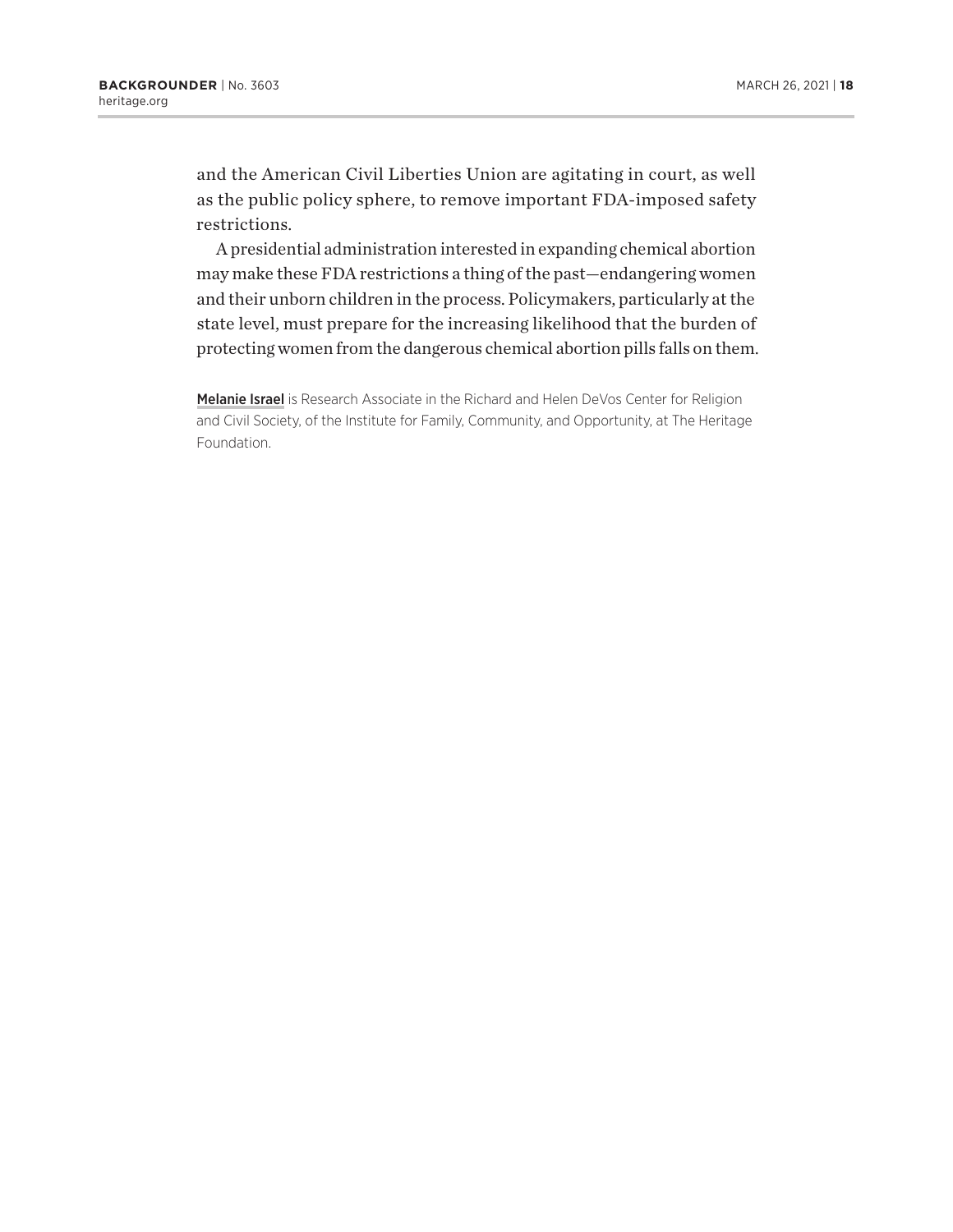and the American Civil Liberties Union are agitating in court, as well as the public policy sphere, to remove important FDA-imposed safety restrictions.

A presidential administration interested in expanding chemical abortion may make these FDA restrictions a thing of the past—endangering women and their unborn children in the process. Policymakers, particularly at the state level, must prepare for the increasing likelihood that the burden of protecting women from the dangerous chemical abortion pills falls on them.

Melanie Israel is Research Associate in the Richard and Helen DeVos Center for Religion and Civil Society, of the Institute for Family, Community, and Opportunity, at The Heritage Foundation.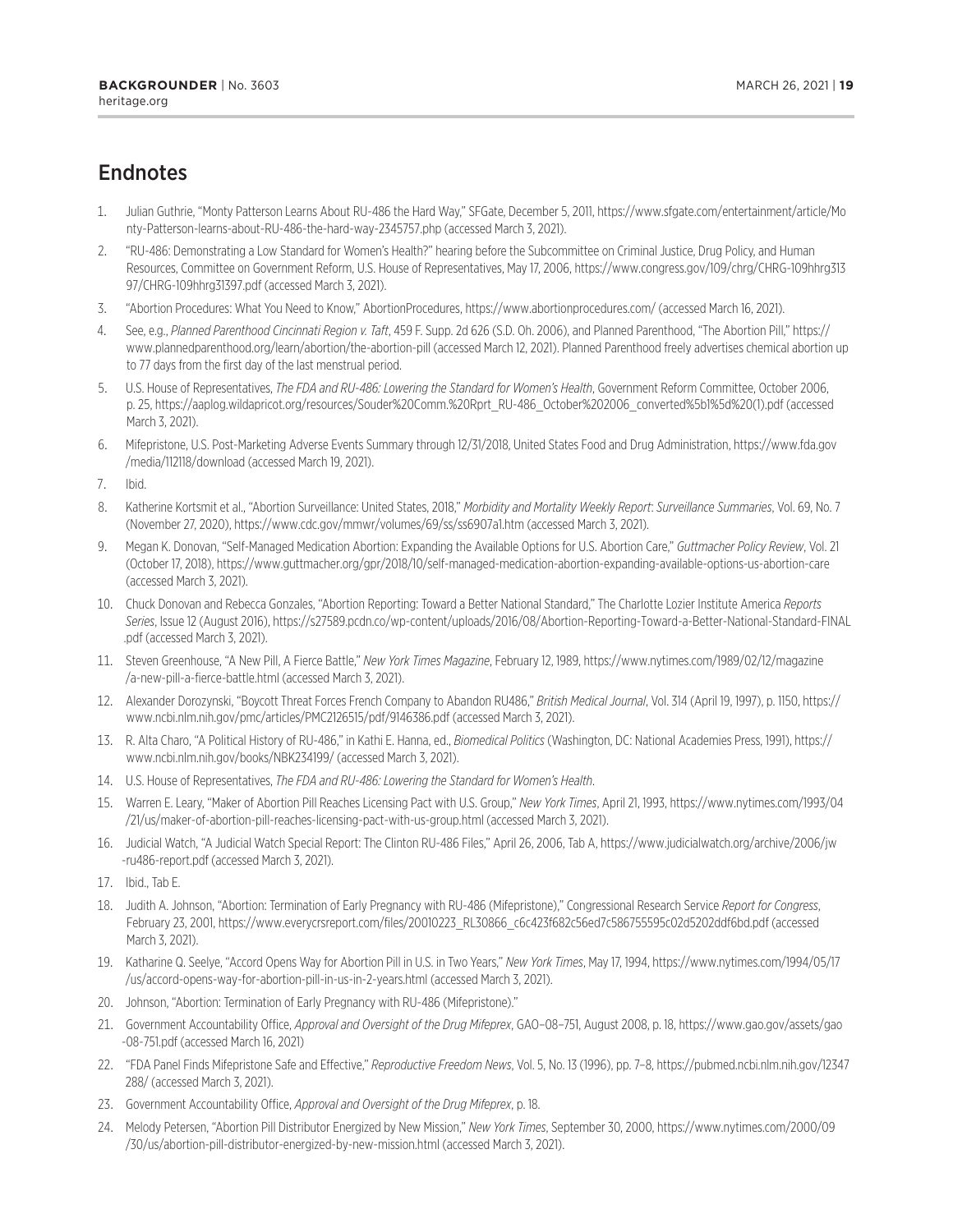## <span id="page-18-0"></span>**Endnotes**

- [1.](#page-0-0) Julian Guthrie, "Monty Patterson Learns About RU-486 the Hard Way," SFGate, December 5, 2011, [https://www.sfgate.com/entertainment/article/Mo](https://www.sfgate.com/entertainment/article/Monty-Patterson-learns-about-RU-486-the-hard-way-2345757.php) [nty-Patterson-learns-about-RU-486-the-hard-way-2345757.php](https://www.sfgate.com/entertainment/article/Monty-Patterson-learns-about-RU-486-the-hard-way-2345757.php) (accessed March 3, 2021).
- [2.](#page-1-0) "RU-486: Demonstrating a Low Standard for Women's Health?" hearing before the Subcommittee on Criminal Justice, Drug Policy, and Human Resources, Committee on Government Reform, U.S. House of Representatives, May 17, 2006, [https://www.congress.gov/109/chrg/CHRG-109hhrg313](https://www.congress.gov/109/chrg/CHRG-109hhrg31397/CHRG-109hhrg31397.pdf) [97/CHRG-109hhrg31397.pdf](https://www.congress.gov/109/chrg/CHRG-109hhrg31397/CHRG-109hhrg31397.pdf) (accessed March 3, 2021).
- [3.](#page-1-0) "Abortion Procedures: What You Need to Know," AbortionProcedures,<https://www.abortionprocedures.com/>(accessed March 16, 2021).
- [4.](#page-1-0) See, e.g., *Planned Parenthood Cincinnati Region v. Taft*, 459 F. Supp. 2d 626 (S.D. Oh. 2006), and Planned Parenthood, "The Abortion Pill," [https://](https://www.plannedparenthood.org/learn/abortion/the-abortion-pill) [www.plannedparenthood.org/learn/abortion/the-abortion-pill](https://www.plannedparenthood.org/learn/abortion/the-abortion-pill) (accessed March 12, 2021). Planned Parenthood freely advertises chemical abortion up to 77 days from the first day of the last menstrual period.
- [5](#page-1-0). U.S. House of Representatives, *The FDA and RU-486: Lowering the Standard for Women's Health*, Government Reform Committee, October 2006, p. 25, [https://aaplog.wildapricot.org/resources/Souder%20Comm.%20Rprt\\_RU-486\\_October%202006\\_converted%5b1%5d%20\(1\).pdf](https://aaplog.wildapricot.org/resources/Souder%20Comm.%20Rprt_RU-486_October%202006_converted%5b1%5d%20(1).pdf) (accessed March 3, 2021).
- [6](#page-1-0). Mifepristone, U.S. Post-Marketing Adverse Events Summary through 12/31/2018, United States Food and Drug Administration, [https://www.fda.gov](https://www.fda.gov/media/112118/download) [/media/112118/download](https://www.fda.gov/media/112118/download) (accessed March 19, 2021).
- [7](#page-2-0). Ibid.
- [8](#page-2-0). Katherine Kortsmit et al., "Abortion Surveillance: United States, 2018," *Morbidity and Mortality Weekly Report*: *Surveillance Summaries*, Vol. 69, No. 7 (November 27, 2020), <https://www.cdc.gov/mmwr/volumes/69/ss/ss6907a1.htm>(accessed March 3, 2021).
- [9](#page-2-0). Megan K. Donovan, "Self-Managed Medication Abortion: Expanding the Available Options for U.S. Abortion Care," *Guttmacher Policy Review*, Vol. 21 (October 17, 2018),<https://www.guttmacher.org/gpr/2018/10/self-managed-medication-abortion-expanding-available-options-us-abortion-care> (accessed March 3, 2021).
- [10.](#page-2-0) Chuck Donovan and Rebecca Gonzales, "Abortion Reporting: Toward a Better National Standard," The Charlotte Lozier Institute America *Reports Series*, Issue 12 (August 2016), [https://s27589.pcdn.co/wp-content/uploads/2016/08/Abortion-Reporting-Toward-a-Better-National-Standard-FINAL](https://s27589.pcdn.co/wp-content/uploads/2016/08/Abortion-Reporting-Toward-a-Better-National-Standard-FINAL.pdf) [.pdf](https://s27589.pcdn.co/wp-content/uploads/2016/08/Abortion-Reporting-Toward-a-Better-National-Standard-FINAL.pdf) (accessed March 3, 2021).
- [11.](#page-2-0) Steven Greenhouse, "A New Pill, A Fierce Battle," *New York Times Magazine*, February 12, 1989, [https://www.nytimes.com/1989/02/12/magazine](https://www.nytimes.com/1989/02/12/magazine/a-new-pill-a-fierce-battle.html) [/a-new-pill-a-fierce-battle.html](https://www.nytimes.com/1989/02/12/magazine/a-new-pill-a-fierce-battle.html) (accessed March 3, 2021).
- [12.](#page-2-0) Alexander Dorozynski, "Boycott Threat Forces French Company to Abandon RU486," *British Medical Journal*, Vol. 314 (April 19, 1997), p. 1150, [https://](https://www.ncbi.nlm.nih.gov/pmc/articles/PMC2126515/pdf/9146386.pdf) [www.ncbi.nlm.nih.gov/pmc/articles/PMC2126515/pdf/9146386.pdf](https://www.ncbi.nlm.nih.gov/pmc/articles/PMC2126515/pdf/9146386.pdf) (accessed March 3, 2021).
- [13.](#page-3-0) R. Alta Charo, "A Political History of RU-486," in Kathi E. Hanna, ed., *Biomedical Politics* (Washington, DC: National Academies Press, 1991), [https://](https://www.ncbi.nlm.nih.gov/books/NBK234199/) [www.ncbi.nlm.nih.gov/books/NBK234199/](https://www.ncbi.nlm.nih.gov/books/NBK234199/) (accessed March 3, 2021).
- [14.](#page-3-0) U.S. House of Representatives, *The FDA and RU-486: Lowering the Standard for Women's Health*.
- [15.](#page-3-0) Warren E. Leary, "Maker of Abortion Pill Reaches Licensing Pact with U.S. Group," *New York Times*, April 21, 1993, [https://www.nytimes.com/1993/04](https://www.nytimes.com/1993/04/21/us/maker-of-abortion-pill-reaches-licensing-pact-with-us-group.html) [/21/us/maker-of-abortion-pill-reaches-licensing-pact-with-us-group.html](https://www.nytimes.com/1993/04/21/us/maker-of-abortion-pill-reaches-licensing-pact-with-us-group.html) (accessed March 3, 2021).
- [16.](#page-3-0) Judicial Watch, "A Judicial Watch Special Report: The Clinton RU-486 Files," April 26, 2006, Tab A, [https://www.judicialwatch.org/archive/2006/jw](https://www.judicialwatch.org/archive/2006/jw-ru486-report.pdf) [-ru486-report.pdf](https://www.judicialwatch.org/archive/2006/jw-ru486-report.pdf) (accessed March 3, 2021).
- [17.](#page-4-0) Ibid., Tab E.
- [18.](#page-5-0) Judith A. Johnson, "Abortion: Termination of Early Pregnancy with RU-486 (Mifepristone)," Congressional Research Service *Report for Congress*, February 23, 2001, [https://www.everycrsreport.com/files/20010223\\_RL30866\\_c6c423f682c56ed7c586755595c02d5202ddf6bd.pdf](https://www.everycrsreport.com/files/20010223_RL30866_c6c423f682c56ed7c586755595c02d5202ddf6bd.pdf) (accessed March 3, 2021).
- [19.](#page-5-0) Katharine Q. Seelye, "Accord Opens Way for Abortion Pill in U.S. in Two Years," *New York Times*, May 17, 1994, [https://www.nytimes.com/1994/05/17](https://www.nytimes.com/1994/05/17/us/accord-opens-way-for-abortion-pill-in-us-in-2-years.html) [/us/accord-opens-way-for-abortion-pill-in-us-in-2-years.html](https://www.nytimes.com/1994/05/17/us/accord-opens-way-for-abortion-pill-in-us-in-2-years.html) (accessed March 3, 2021).
- [20.](#page-5-0) Johnson, "Abortion: Termination of Early Pregnancy with RU-486 (Mifepristone)."
- [21.](#page-5-0) Government Accountability Office, *Approval and Oversight of the Drug Mifeprex*, GAO–08–751, August 2008, p. 18, [https://www.gao.gov/assets/gao](https://www.gao.gov/assets/gao-08-751.pdf) [-08-751.pdf](https://www.gao.gov/assets/gao-08-751.pdf) (accessed March 16, 2021)
- [22.](#page-5-0) "FDA Panel Finds Mifepristone Safe and Effective," *Reproductive Freedom News*, Vol. 5, No. 13 (1996), pp. 7–8, [https://pubmed.ncbi.nlm.nih.gov/12347](https://pubmed.ncbi.nlm.nih.gov/12347288/) [288/](https://pubmed.ncbi.nlm.nih.gov/12347288/) (accessed March 3, 2021).
- [23.](#page-5-0) Government Accountability Office, *Approval and Oversight of the Drug Mifeprex*, p. 18.
- [24.](#page-6-0) Melody Petersen, "Abortion Pill Distributor Energized by New Mission," *New York Times*, September 30, 2000, [https://www.nytimes.com/2000/09](https://www.nytimes.com/2000/09/30/us/abortion-pill-distributor-energized-by-new-mission.html) [/30/us/abortion-pill-distributor-energized-by-new-mission.html](https://www.nytimes.com/2000/09/30/us/abortion-pill-distributor-energized-by-new-mission.html) (accessed March 3, 2021).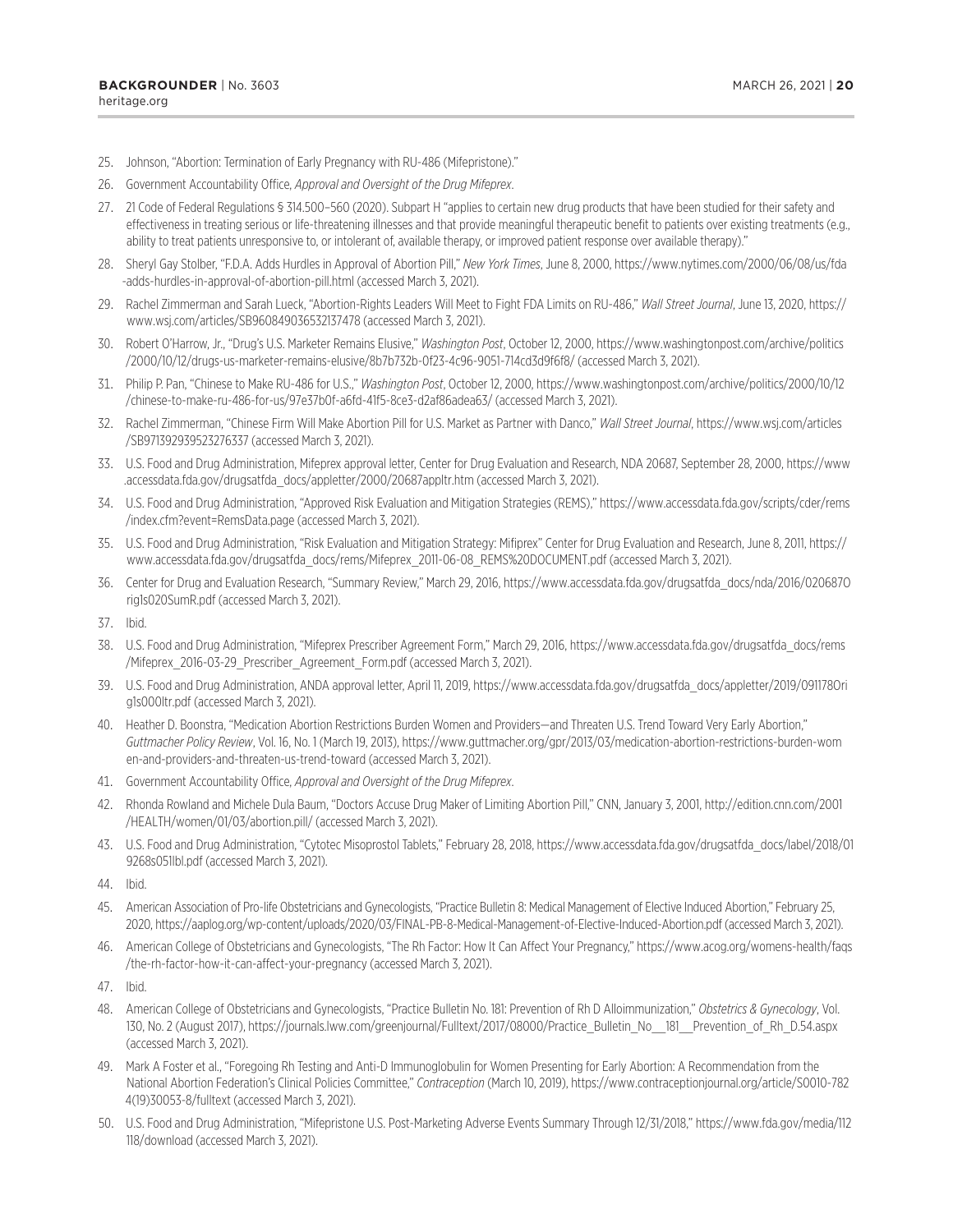- <span id="page-19-0"></span>[25](#page-6-0). Johnson, "Abortion: Termination of Early Pregnancy with RU-486 (Mifepristone)."
- [26](#page-6-0). Government Accountability Office, *Approval and Oversight of the Drug Mifeprex*.
- [27](#page-6-0). 21 Code of Federal Regulations § 314.500–560 (2020). Subpart H "applies to certain new drug products that have been studied for their safety and effectiveness in treating serious or life-threatening illnesses and that provide meaningful therapeutic benefit to patients over existing treatments (e.g., ability to treat patients unresponsive to, or intolerant of, available therapy, or improved patient response over available therapy)."
- [28](#page-6-0). Sheryl Gay Stolber, "F.D.A. Adds Hurdles in Approval of Abortion Pill," *New York Times*, June 8, 2000, [https://www.nytimes.com/2000/06/08/us/fda](https://www.nytimes.com/2000/06/08/us/fda-adds-hurdles-in-approval-of-abortion-pill.html) [-adds-hurdles-in-approval-of-abortion-pill.html](https://www.nytimes.com/2000/06/08/us/fda-adds-hurdles-in-approval-of-abortion-pill.html) (accessed March 3, 2021).
- [29](#page-7-0). Rachel Zimmerman and Sarah Lueck, "Abortion-Rights Leaders Will Meet to Fight FDA Limits on RU-486," *Wall Street Journal*, June 13, 2020, [https://](https://www.wsj.com/articles/SB960849036532137478) [www.wsj.com/articles/SB960849036532137478](https://www.wsj.com/articles/SB960849036532137478) (accessed March 3, 2021).
- [30.](#page-7-0) Robert O'Harrow, Jr., "Drug's U.S. Marketer Remains Elusive," *Washington Post*, October 12, 2000, [https://www.washingtonpost.com/archive/politics](https://www.washingtonpost.com/archive/politics/2000/10/12/drugs-us-marketer-remains-elusive/8b7b732b-0f23-4c96-9051-714cd3d9f6f8/) [/2000/10/12/drugs-us-marketer-remains-elusive/8b7b732b-0f23-4c96-9051-714cd3d9f6f8/](https://www.washingtonpost.com/archive/politics/2000/10/12/drugs-us-marketer-remains-elusive/8b7b732b-0f23-4c96-9051-714cd3d9f6f8/) (accessed March 3, 2021).
- [31.](#page-7-0) Philip P. Pan, "Chinese to Make RU-486 for U.S.," *Washington Post*, October 12, 2000, [https://www.washingtonpost.com/archive/politics/2000/10/12](https://www.washingtonpost.com/archive/politics/2000/10/12/chinese-to-make-ru-486-for-us/97e37b0f-a6fd-41f5-8ce3-d2af86adea63/) [/chinese-to-make-ru-486-for-us/97e37b0f-a6fd-41f5-8ce3-d2af86adea63/](https://www.washingtonpost.com/archive/politics/2000/10/12/chinese-to-make-ru-486-for-us/97e37b0f-a6fd-41f5-8ce3-d2af86adea63/) (accessed March 3, 2021).
- [32.](#page-7-0) Rachel Zimmerman, "Chinese Firm Will Make Abortion Pill for U.S. Market as Partner with Danco," *Wall Street Journal*, [https://www.wsj.com/articles](https://www.wsj.com/articles/SB971392939523276337) [/SB971392939523276337](https://www.wsj.com/articles/SB971392939523276337) (accessed March 3, 2021).
- [33.](#page-7-0) U.S. Food and Drug Administration, Mifeprex approval letter, Center for Drug Evaluation and Research, NDA 20687, September 28, 2000, [https://www](https://www.accessdata.fda.gov/drugsatfda_docs/appletter/2000/20687appltr.htm) [.accessdata.fda.gov/drugsatfda\\_docs/appletter/2000/20687appltr.htm](https://www.accessdata.fda.gov/drugsatfda_docs/appletter/2000/20687appltr.htm) (accessed March 3, 2021).
- [34.](#page-7-0) U.S. Food and Drug Administration, "Approved Risk Evaluation and Mitigation Strategies (REMS)," [https://www.accessdata.fda.gov/scripts/cder/rems](https://www.accessdata.fda.gov/scripts/cder/rems/index.cfm?event=RemsData.page) [/index.cfm?event=RemsData.page](https://www.accessdata.fda.gov/scripts/cder/rems/index.cfm?event=RemsData.page) (accessed March 3, 2021).
- [35.](#page-8-0) U.S. Food and Drug Administration, "Risk Evaluation and Mitigation Strategy: Mifiprex" Center for Drug Evaluation and Research, June 8, 2011, [https://](https://www.accessdata.fda.gov/drugsatfda_docs/rems/Mifeprex_2011-06-08_REMS%20DOCUMENT.pdf) [www.accessdata.fda.gov/drugsatfda\\_docs/rems/Mifeprex\\_2011-06-08\\_REMS%20DOCUMENT.pdf](https://www.accessdata.fda.gov/drugsatfda_docs/rems/Mifeprex_2011-06-08_REMS%20DOCUMENT.pdf) (accessed March 3, 2021).
- [36.](#page-8-0) Center for Drug and Evaluation Research, "Summary Review," March 29, 2016, [https://www.accessdata.fda.gov/drugsatfda\\_docs/nda/2016/020687O](https://www.accessdata.fda.gov/drugsatfda_docs/nda/2016/020687Orig1s020SumR.pdf) [rig1s020SumR.pdf](https://www.accessdata.fda.gov/drugsatfda_docs/nda/2016/020687Orig1s020SumR.pdf) (accessed March 3, 2021).
- [37.](#page-8-0) Ibid.
- [38.](#page-8-0) U.S. Food and Drug Administration, "Mifeprex Prescriber Agreement Form," March 29, 2016, [https://www.accessdata.fda.gov/drugsatfda\\_docs/rems](https://www.accessdata.fda.gov/drugsatfda_docs/rems/Mifeprex_2016-03-29_Prescriber_Agreement_Form.pdf) [/Mifeprex\\_2016-03-29\\_Prescriber\\_Agreement\\_Form.pdf](https://www.accessdata.fda.gov/drugsatfda_docs/rems/Mifeprex_2016-03-29_Prescriber_Agreement_Form.pdf) (accessed March 3, 2021).
- [39.](#page-8-0) U.S. Food and Drug Administration, ANDA approval letter, April 11, 2019, [https://www.accessdata.fda.gov/drugsatfda\\_docs/appletter/2019/091178Ori](https://www.accessdata.fda.gov/drugsatfda_docs/appletter/2019/091178Orig1s000ltr.pdf) [g1s000ltr.pdf](https://www.accessdata.fda.gov/drugsatfda_docs/appletter/2019/091178Orig1s000ltr.pdf) (accessed March 3, 2021).
- [40.](#page-8-0) Heather D. Boonstra, "Medication Abortion Restrictions Burden Women and Providers—and Threaten U.S. Trend Toward Very Early Abortion," *Guttmacher Policy Review*, Vol. 16, No. 1 (March 19, 2013), [https://www.guttmacher.org/gpr/2013/03/medication-abortion-restrictions-burden-wom](https://www.guttmacher.org/gpr/2013/03/medication-abortion-restrictions-burden-women-and-providers-and-threaten-us-trend-toward) [en-and-providers-and-threaten-us-trend-toward](https://www.guttmacher.org/gpr/2013/03/medication-abortion-restrictions-burden-women-and-providers-and-threaten-us-trend-toward) (accessed March 3, 2021).
- [41.](#page-9-0) Government Accountability Office, *Approval and Oversight of the Drug Mifeprex*.
- [42.](#page-9-0) Rhonda Rowland and Michele Dula Baum, "Doctors Accuse Drug Maker of Limiting Abortion Pill," CNN, January 3, 2001, [http://edition.cnn.com/2001](http://edition.cnn.com/2001/HEALTH/women/01/03/abortion.pill/) [/HEALTH/women/01/03/abortion.pill/](http://edition.cnn.com/2001/HEALTH/women/01/03/abortion.pill/) (accessed March 3, 2021).
- [43.](#page-9-0) U.S. Food and Drug Administration, "Cytotec Misoprostol Tablets," February 28, 2018, [https://www.accessdata.fda.gov/drugsatfda\\_docs/label/2018/01](https://www.accessdata.fda.gov/drugsatfda_docs/label/2018/019268s051lbl.pdf) [9268s051lbl.pdf](https://www.accessdata.fda.gov/drugsatfda_docs/label/2018/019268s051lbl.pdf) (accessed March 3, 2021).
- [44.](#page-9-0) Ibid.
- [45.](#page-10-0) American Association of Pro-life Obstetricians and Gynecologists, "Practice Bulletin 8: Medical Management of Elective Induced Abortion," February 25, 2020,<https://aaplog.org/wp-content/uploads/2020/03/FINAL-PB-8-Medical-Management-of-Elective-Induced-Abortion.pdf> (accessed March 3, 2021).
- [46.](#page-10-0) American College of Obstetricians and Gynecologists, "The Rh Factor: How It Can Affect Your Pregnancy," [https://www.acog.org/womens-health/faqs](https://www.acog.org/womens-health/faqs/the-rh-factor-how-it-can-affect-your-pregnancy) [/the-rh-factor-how-it-can-affect-your-pregnancy](https://www.acog.org/womens-health/faqs/the-rh-factor-how-it-can-affect-your-pregnancy) (accessed March 3, 2021).
- [47.](#page-10-0) Ibid.
- [48.](#page-10-0) American College of Obstetricians and Gynecologists, "Practice Bulletin No. 181: Prevention of Rh D Alloimmunization," *Obstetrics & Gynecology*, Vol. 130, No. 2 (August 2017), [https://journals.lww.com/greenjournal/Fulltext/2017/08000/Practice\\_Bulletin\\_No\\_\\_181\\_\\_Prevention\\_of\\_Rh\\_D.54.aspx](https://journals.lww.com/greenjournal/Fulltext/2017/08000/Practice_Bulletin_No__181__Prevention_of_Rh_D.54.aspx) (accessed March 3, 2021).
- [49.](#page-10-0) Mark A Foster et al., "Foregoing Rh Testing and Anti-D Immunoglobulin for Women Presenting for Early Abortion: A Recommendation from the National Abortion Federation's Clinical Policies Committee," *Contraception* (March 10, 2019), [https://www.contraceptionjournal.org/article/S0010-782](https://www.contraceptionjournal.org/article/S0010-7824(19)30053-8/fulltext) [4\(19\)30053-8/fulltext](https://www.contraceptionjournal.org/article/S0010-7824(19)30053-8/fulltext) (accessed March 3, 2021).
- [50](#page-11-0). U.S. Food and Drug Administration, "Mifepristone U.S. Post-Marketing Adverse Events Summary Through 12/31/2018," [https://www.fda.gov/media/112](https://www.fda.gov/media/112118/download) [118/download](https://www.fda.gov/media/112118/download) (accessed March 3, 2021).